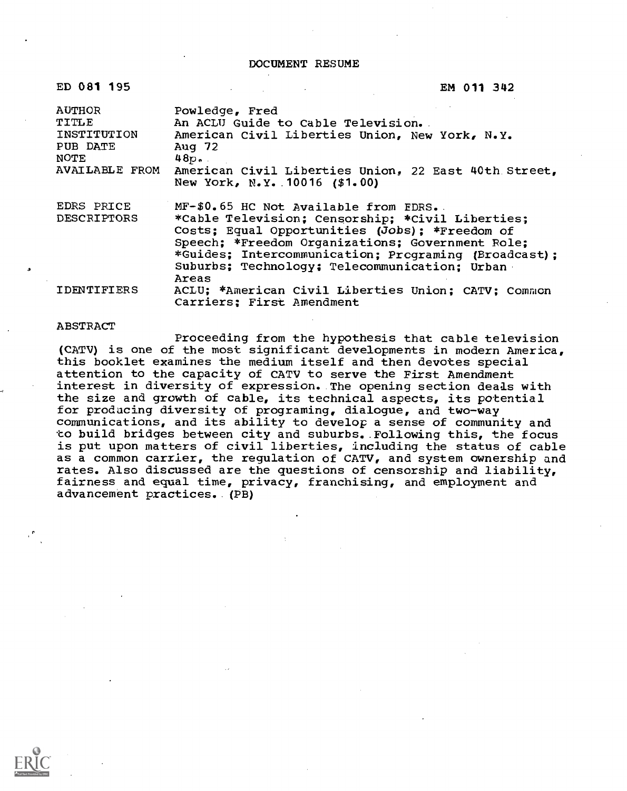DOCUMENT RESUME

| ED 081 195                                                                         | EM 011 342                                                                                                                                                                                                                                                                                                        |
|------------------------------------------------------------------------------------|-------------------------------------------------------------------------------------------------------------------------------------------------------------------------------------------------------------------------------------------------------------------------------------------------------------------|
| <b>AUTHOR</b><br>TITLE<br>INSTITUTION<br>PUB DATE<br>NOTE<br><b>AVAILABLE FROM</b> | Powledge, Fred<br>An ACLU Guide to Cable Television.<br>American Civil Liberties Union, New York, N.Y.<br>Aug $72$<br>48p.<br>American Civil Liberties Union, 22 East 40th Street,<br>New York, N.Y. 10016 (\$1.00)                                                                                               |
| EDRS PRICE<br><b>DESCRIPTORS</b>                                                   | MF-\$0.65 HC Not Available from EDRS.<br>*Cable Television; Censorship; *Civil Liberties;<br>Costs; Equal Opportunities (Jobs); *Freedom of<br>Speech; *Freedom Organizations; Government Role;<br>*Guides; Intercommunication; Programing (Broadcast);<br>Suburbs; Technology; Telecommunication; Urban<br>Areas |
| IDENTIFIERS                                                                        | ACLU; *American Civil Liberties Union; CATV; Common<br>Carriers; First Amendment                                                                                                                                                                                                                                  |

#### ABSTRACT

COS 405

Proceeding from the hypothesis that cable television (CATV) is one of the most significant developments in modern America, this booklet examines the medium itself and then devotes special attention to the capacity of CATV to serve the First Amendment interest in diversity of expression. The opening section deals with the size and growth of cable, its technical aspects, its potential for producing diversity of programing, dialogue, and two-way communications, and its ability to develop a sense of community and to build bridges between city and suburbs. Following this, the focus is put upon matters of civil liberties, including the status of cable as a common carrier, the regulation of CATV, and system ownership and rates. Also discussed are the questions of censorship and liability, fairness and equal time, privacy, franchising, and employment and advancement practices. (PB)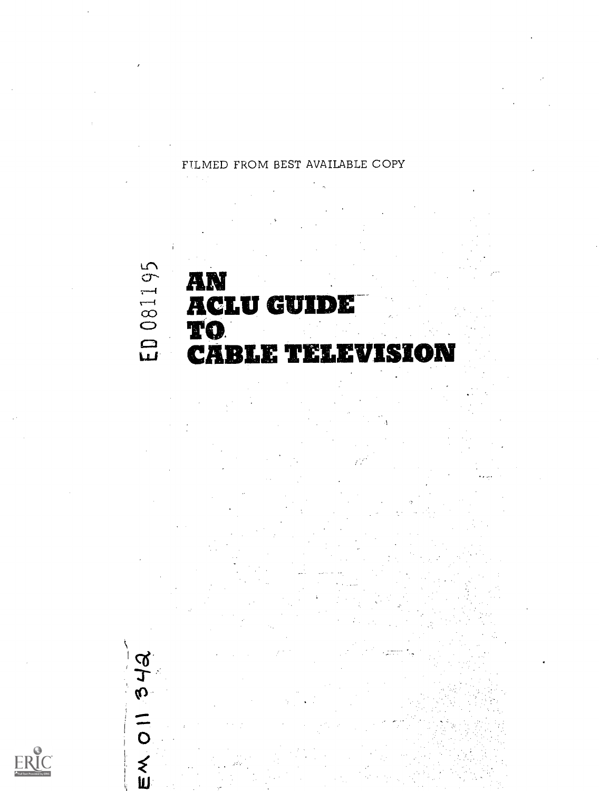# $ERIC$

# EW OII 342

# AN ACLU GUIDE- ', TO **EXAMPLE CABLE TELEVISION**

FILMED FROM BEST AVAILABLE COPY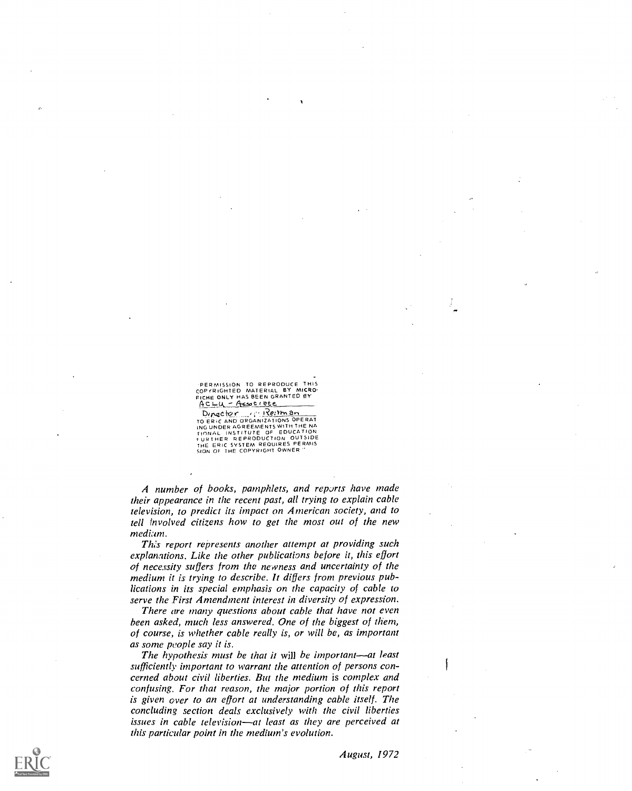"PERMISSION TO REPRODUCE THIS<br>COPYRIGHTED MATERIAL BY MICRO-<br>FICHE ONLY HAS BEEN GRANTED BY<br>ACLU - Associate

Deric AND ORGANIZATIONS OPERAT<br>TO ERIC AND ORGANIZATIONS OPERAT<br>ING UNDER AGREEMENTS WITH THE NA<br>TIONAL INSTITUTE OF EDUCATION<br>TIONAL INSTITUTE OF EDUCATION<br>THE REPRODUCTION OWNER THE COPYRIGHT OWNER "

A number of books, pamphlets, and reports have made their appearance in the recent past, all trying to explain cable television, to predict its impact on American society, and to tell involved citizens how to get the most out of the new medium.

Th:s report represents another attempt at providing such explanations. Like the other publications before it, this effort of necessity suffers from the newness and uncertainty of the medium it is trying to describe. It differs from previous publications in its special emphasis on the capacity of cable to serve the First Amendment interest in diversity of expression.

There are many questions about cable that have not even been asked, much less answered. One of the biggest of them, of course, is whether cable really is, or will be, as important as some people say it is.

The hypothesis must be that it will be important-at least sufficiently important to warrant the attention of persons concerned about civil liberties. But the medium is complex and confusing. For that reason, the major portion of this report is given over to an effort at understanding cable itself. The concluding section deals exclusively with the civil liberties issues in cable television-at least as they are perceived at this particular point in the medium's evolution.

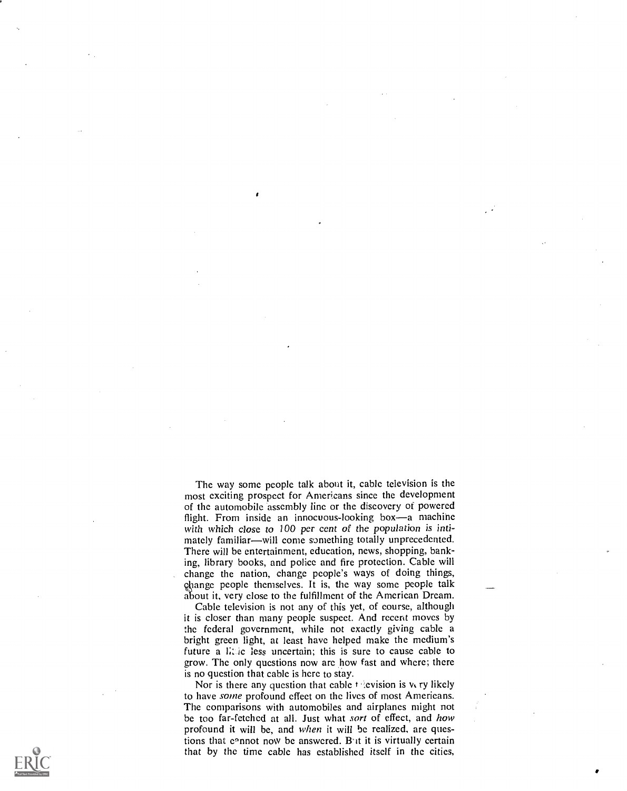The way some people talk about it, cable television is the most exciting prospect for Americans since the development of the automobile assembly line or the discovery of powered flight. From inside an innocuous-looking box-a machine with which close to 100 per cent of the population is intimately familiar—will come something totally unprecedented. There will be entertainment, education, news, shopping, banking, library books, and police and fire protection. Cable will change the nation, change people's ways of doing things, ybange people themselves. It is, the way some people talk about it, very close to the fulfillment of the American Dream.

Cable television is not any of this yet, of course, although it is closer than many people suspect. And recent moves by the federal government, while not exactly giving cable a bright green light, at least have helped make the medium's future a littic less uncertain; this is sure to cause cable to grow. The only questions now are how fast and where; there is no question that cable is here to stay.

Nor is there any question that cable  $t$  levision is  $v<sub>y</sub>$  likely to have some profound effect on the lives of most Americans. The comparisons with automobiles and airplanes might not be too far-fetched at all. Just what sort of effect, and how profound it will be, and when it will be realized, are questions that e<sup>2</sup> nnot now be answered. But it is virtually certain that by the time cable has established itself in the cities,

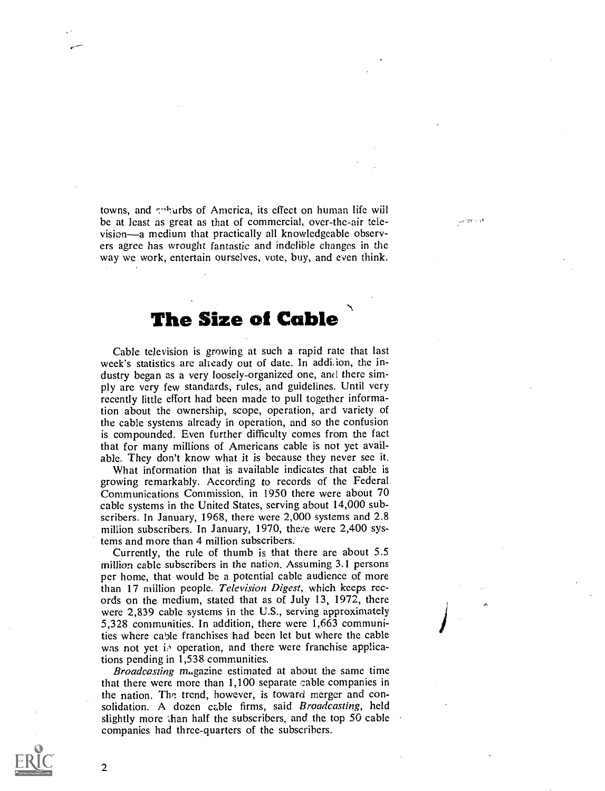towns, and suburbs of America, its effect on human life will be at least as great as that of commercial, over-the-air television—a medium that practically all knowledgeable observers agree has wrought fantastic and indelible changes in the way we work, entertain ourselves, vote, buy, and even think.

49-1251 1117

# The Size of Cable

Cable television is growing at such a rapid rate that last week's statistics are already out of date. In addi,ion, the industry began as a very loosely-organized one, and there simply are very few standards, rules, and guidelines. Until very recently little effort had been made to pull together information about the ownership, scope, operation, and variety of the cable systems already in operation, and so the confusion is compounded. Even further difficulty comes from the fact that for many millions of Americans cable is not yet available. They don't know what it is because they never see it.

What information that is available indicates that cable is growing remarkably. According to records of the Federal Communications Commission, in 1950 there were about 70 cable systems in the United States, serving about 14,000 subscribers. In January, 1968, there were 2,000 systems and 2.8 million subscribers. In January, 1970, there were 2,400 systems and more than 4 million subscribers.

Currently, the rule of thumb is that there are about 5.5 million cable subscribers in the nation. Assuming 3.1 persons per home, that would be a potential cable audience of more than 17 million people. Television Digest, which keeps records on the medium, stated that as of July 13, 1972, there were 2,839 cable systems in the U.S., serving approximately 5,328 communities. In addition, there were 1,663 communities where cable franchises had been let but where the cable was not yet in operation, and there were franchise applications pending in 1,538 communities.

Broadcasting magazine estimated at about the same time that there were more than  $1,100$  separate cable companies in the nation. The trend, however, is toward merger and consolidation. A dozen cable firms, said Broadcasting, held slightly more than half the subscribers, and the top 50 cable companies had three-quarters of the subscribers.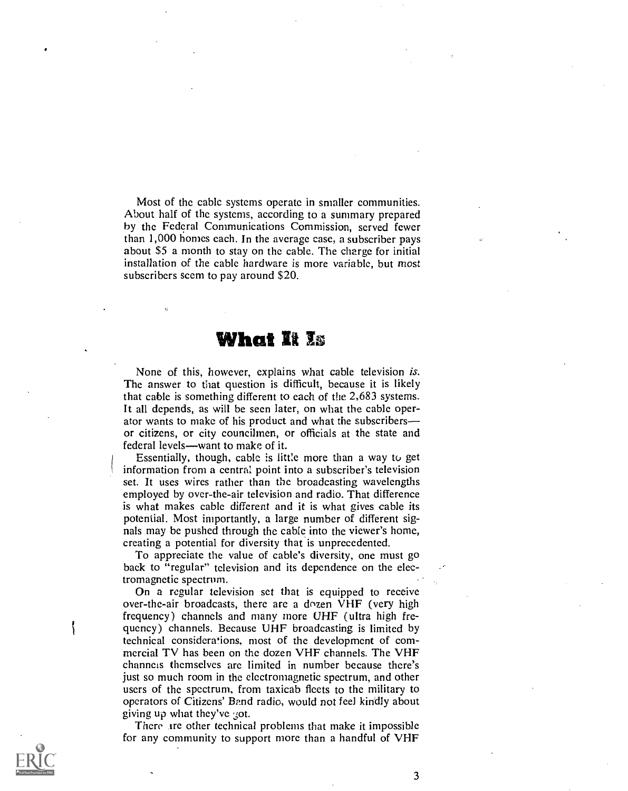Most of the cable systems operate in smaller communities. About half of the systems, according to a summary prepared by the Federal Communications Commission, served fewer than 1,000 homes each. In the average case, a subscriber pays about \$5 a month to stay on the cable. The charge for initial installation of the cable hardware is more variable, but most subscribers scem to pay around \$20.

## What It Is

None of this, however, explains what cable television is. The answer to that question is difficult, because it is likely that cable is something different to each of the 2,683 systems. It all depends, as will be seen later, on what the cable operator wants to make of his product and what the subscribers or citizens, or city councilmen, or officials at the state and federal levels—want to make of it.

Essentially, though, cable is little more than a way to get information from a central point into a subscriber's television set. It uses wires rather than the broadcasting wavelengths employed by over-the-air television and radio. That difference is what makes cable different and it is what gives cable its potential. Most importantly, a large number of different signals may be pushed through the cable into the viewer's home, creating a potential for diversity that is unprecedented.

To appreciate the value of cable's diversity, one must go back to "regular" television and its dependence on the electromagnetic spectrum.

On a regular television set that is equipped to receive over-the-air broadcasts, there are a dozen VHF (very high frequency) channels and many more UHF (ultra high frequency) channels. Because UHF broadcasting is limited by technical considerations, most of the development of commercial TV has been on the dozen VHF channels. The VHF channels themselves are limited in number because there's just so much room in the electromagnetic spectrum, and other users of the spectrum, from taxicab fleets to the military to operators of Citizens' Band radio, would not feel kindly about giving up what they've got.

There ire other technical problems that make it impossible for any community to support more than a handful of VHF



١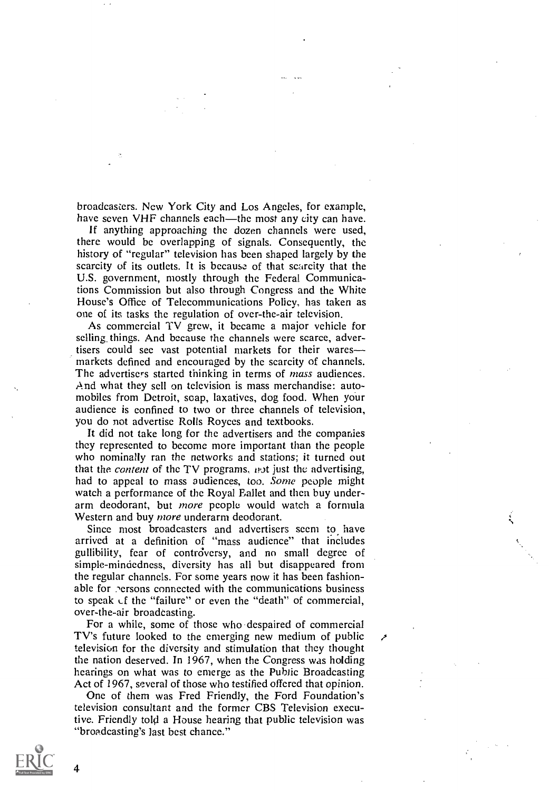broadcasters. New York City and Los Angeles, for example, have seven VHF channels each—the most any city can have.

If anything approaching the dozen channels were used, there would be overlapping of signals. Consequently, the history of "regular" television has been shaped largely by the scarcity of its outlets. It is because of that scarcity that the U.S. government, mostly through the Federal Communications Commission but also through Congress and the White House's Office of Telecommunications Policy, has taken as one of its tasks the regulation of over-the-air television.

As commercial TV grew, it became a major vehicle for selling, things. And because the channels were scarce, advertisers could see vast potential markets for their wares markets defined and encouraged by the scarcity of channels. The advertisers started thinking in terms of *mass* audiences. And what they sell on television is mass merchandise: automobiles from Detroit, soap, laxatives, dog food. When your audience is confined to two or three channels of television, you do not advertise Rolls Royces and textbooks.

It did not take long for the advertisers and the companies they represented to become more important than the people who nominally ran the networks and stations; it turned out that the *content* of the TV programs, not just the advertising, had to appeal to mass audiences, too. Some people might watch a performance of the Royal Ballet and then buy underarm deodorant, but more people would watch a formula Western and buy *more* underarm deodorant.

Since most broadcasters and advertisers seem to, have arrived at a definition of "mass audience" that includes gullibility, fear of controversy, and no small degree of simple-mindedness, diversity has all but disappeared from the regular channels. For some years now it has been fashionable for rersons connected with the communications business to speak  $\mathcal{L}$  the "failure" or even the "death" of commercial, over-the-air broadcasting.

For a while, some of those who despaired of commercial TV's future looked to the emerging new medium of public television for the diversity and stimulation that they thought the nation deserved. In 1967, when the Congress was holding hearings on what was to emerge as the Public Broadcasting Act of 1967, several of those who testified offered that opinion.

One of them was Fred Friendly, the Ford Foundation's television consultant and the former CBS Television executive. Friendly told a House hearing that public television was "broadcasting's last best chance."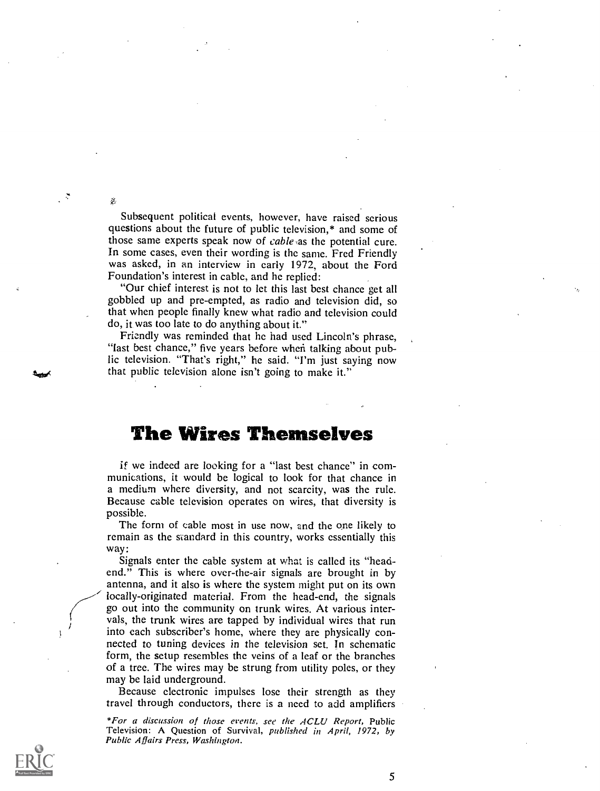Subsequent political events, however, have raised serious questions about the future of public television,\* and some of those same experts speak now of cable as the potential cure. In some cases, even their wording is the same. Fred Friendly was asked, in an interview in early 1972, about the Ford Foundation's interest in cable, and he replied:

"Our chief interest is not to let this last best chance get all gobbled up and pre-empted, as radio and television did, so that when people finally knew what radio and television could do, it was too late to do anything about it."

Friendly was reminded that he had used Lincoln's phrase, "last best chance," five years before when talking about public television. "That's right," he said. "I'm just saying now that public television alone isn't going to make it."

# The Wires Themselves

if we indeed are looking for a "last best chance" in communications, it would be logical to look for that chance in a medium where diversity, and not scarcity, was the rule. Because cable television operates on wires, that diversity is possible.

The form of cable most in use now, and the one likely to remain as the standard in this country, works essentially this way:

Signals enter the cable system at what is called its "headend." This is where over-the-air signals are brought in by antenna, and it also is where the system might put on its own locally-originated material. From the head-end, the signals go out into the community on trunk wires. At various intervals, the trunk wires are tapped by individual wires that run into each subscriber's home, where they are physically connected to tuning devices in the television set. In schematic form, the setup resembles the veins of a leaf or the branches of a tree. The wires may be strung from utility poles, or they may be laid underground.

Because electronic impulses lose their strength as they travel through conductors, there is a need to add amplifiers

\*For a discussion of those events, see the ACLU Report, Public Television: A Question of Survival, published in April, 1972, by Public Affairs Press, Washington.



-3

ğ,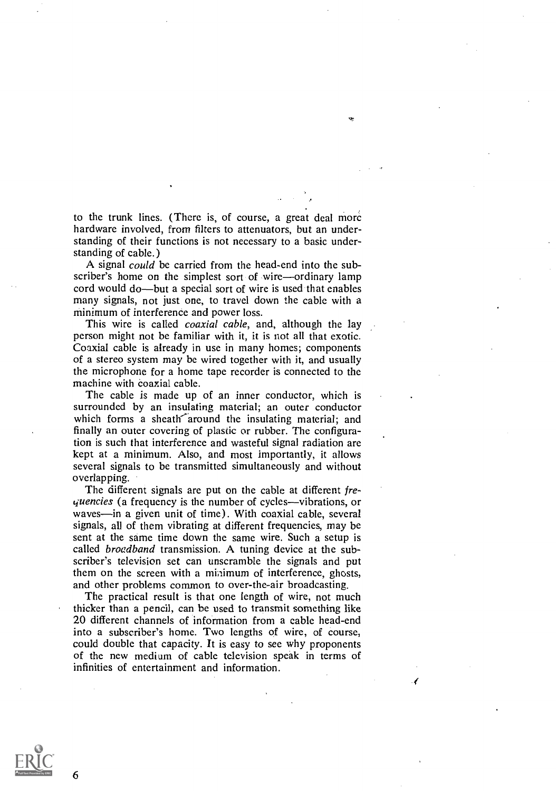to the trunk lines. (There is, of course, a great deal more hardware involved, from filters to attenuators, but an understanding of their functions is not necessary to a basic understanding of cable.)

A signal could be carried from the head-end into the subscriber's home on the simplest sort of wire—ordinary lamp cord would  $do$ —but a special sort of wire is used that enables many signals, not just one, to travel down the cable with a minimum of interference and power loss.

This wire is called *coaxial cable*, and, although the lay person might not be familiar with it, it is not all that exotic. Coaxial cable is already in use in many homes; components of a stereo system may be wired together with it, and usually the microphone for a home tape recorder is connected to the machine with coaxial cable.

The cable is made up of an inner conductor, which is surrounded by an insulating material; an outer conductor which forms a sheath around the insulating material; and finally an outer covering of plastic or rubber. The configuration is such that interference and wasteful signal radiation are kept at a minimum. Also, and most importantly, it allows several signals to be transmitted simultaneously and without overlapping.

The different signals are put on the cable at different frequencies (a frequency is the number of cycles—vibrations, or waves—in a given unit of time). With coaxial cable, several signals, all of them vibrating at different frequencies, may be sent at the same time down the same wire. Such a setup is called broadband transmission. A tuning device at the subscriber's television set can unscramble the signals and put them on the screen with a minimum of interference, ghosts, and other problems common to over-the-air broadcasting.

The practical result is that one length of wire, not much thicker than a pencil, can be used to transmit something like 20 different channels of information from a cable head-end into a subscriber's home. Two lengths of wire, of course, could double that capacity. It is easy to see why proponents of the new medium of cable television speak in terms of infinities of entertainment and information.

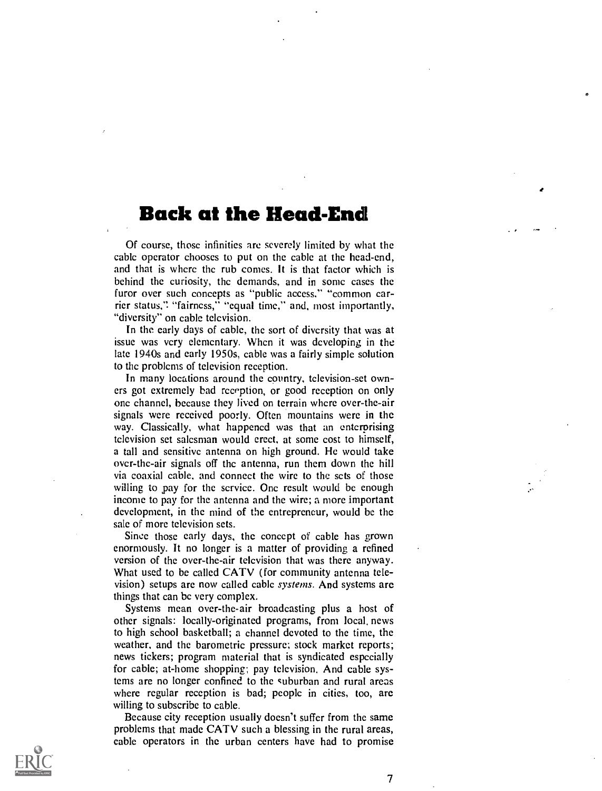# Back at the Head-End

Of course, those infinities arc severely limited by what the cable operator chooses to put on the cable at the head-end, and that is where the rub comes. It is that factor which is behind the curiosity, the demands, and in some cases the furor aver such concepts as "public access." "common carrier status," "fairness," "equal time," and, most importantly, "diversity" on cable television.

In the early days of cable, the sort of diversity that was at issue was very elementary. When it was developing in the late 1940s and early 1950s, cable was a fairly simple solution to the problems of television reception.

In many locations around the country, television-set owners got extremely bad reception, or good reception on only one channel, because they lived on terrain where over-the-air signals were received poorly. Often mountains were in the way. Classically, what happened was that an enterprising television set salesman would erect, at some cost to himself, a tall and sensitive antenna on high ground. He would take over-the-air signals off the antenna, run them down the hill via coaxial cable, and connect the wire to the sets of those willing to pay for the service. One result would be enough income to pay for the antenna and the wire; a more important development, in the mind of the entrepreneur, would be the sale of more television sets.

Since those early days, the concept of cable has grown enormously. It no longer is a matter of providing a refined version of the over-the-air television that was there anyway. What used to be called CATV (for community antenna television) setups are now called cable systems. And systems are things that can be very complex.

Systems mean over-the-air broadcasting plus a host of other signals: locally-originated programs, from local, news to high school basketball; a channel devoted to the time, the weather, and the barometric pressure; stock market reports; news tickers; program material that is syndicated especially for cable; at-home shopping; pay television. And cable systems are no longer confined to the suburban and rural areas where regular reception is bad; people in cities, too, are willing to subscribe to cable.

Because city reception usually doesn't suffer from the same problems that made CATV such a blessing in the rural areas, cable operators in the urban centers have had to promise

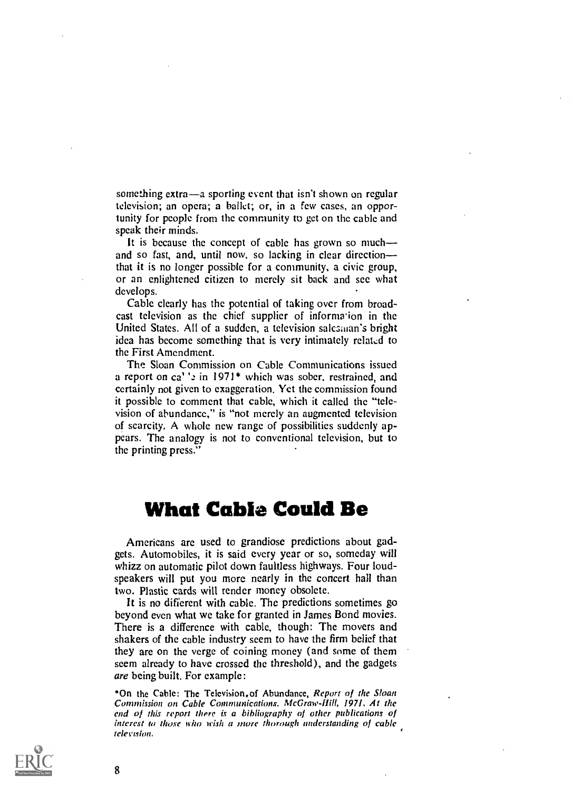something extra—a sporting event that isn't shown on regular television; an opera; a ballet; or, in a few cases, an opportunity for people from the community to get on the cable and speak their minds.

It is because the concept of cable has grown so muchand so fast, and, until now, so lacking in clear direction that it is no longer possible for a community, a civic group, or an enlightened citizen to merely sit back and see what develops.

Cable clearly has the potential of taking over from broadcast television as the chief supplier of informa`ion in the United States. All of a sudden, a television salesaian's bright idea has become something that is very intimately related to the First Amendment.

The Sloan Commission on Cable Communications issued a report on  $ca''$ : in 1971\* which was sober, restrained, and certainly not given to exaggeration. Yet the commission found it possible to comment that cable, which it called the "television of abundance," is "not merely an augmented television of scarcity. A whole new range of possibilities suddenly appears. The analogy is not to conventional television, but to the printing press."

# What Cable Could Be

Americans are used to grandiose predictions about gadgets. Automobiles, it is said every year or so, someday will whizz on automatic pilot down faultless highways. Four loudspeakers will put you more nearly in the concert hail than two. Plastic cards will render money obsolete.

It is no different with cable. The predictions sometimes go beyond even what we take for granted in James Bond movies. There is a difference with cable, though: The movers and shakers of the cable industry seem to have the firm belief that they are on the verge of coining money (and some of them seem already to have crossed the threshold), and the gadgets are being built. For example:

\*On the Cable: The Television, of Abundance, Report of the Sloan Commission on Cable Communications. McGraw-Hill, 1971. At the end of this report there is a bibliography of other publications of interest to those who wish a more thorough understanding of cable television,

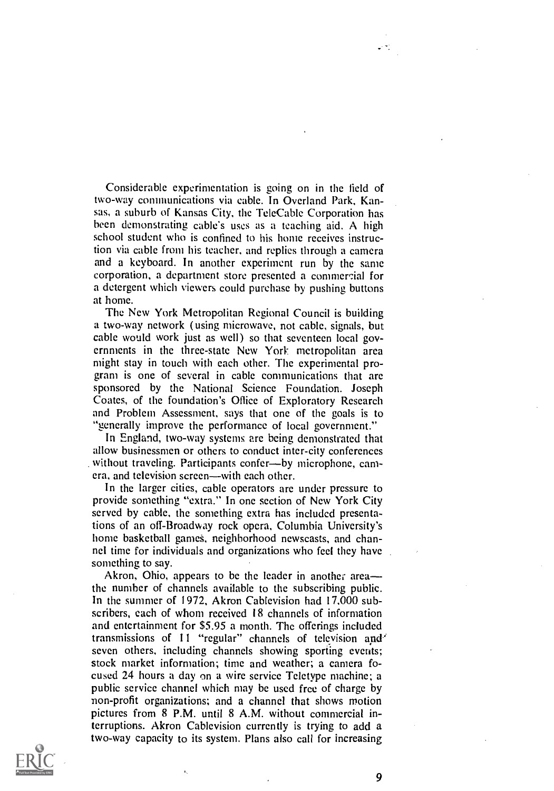Considerable experimentation is going on in the field of two-way communications via cable. In Overland Park, Kansas, a suburb of Kansas City, the TeleCable Corporation has been demonstrating cable's uses as a teaching aid. A high school student who is confined to his home receives instruction via cable from his teacher, and replies through a camera and a keyboard. In another experiment run by the same corporation, a department store presented a commercial for a detergent which viewers could purchase by pushing buttons at home.

The New York Metropolitan Regional Council is building a two-way network (using microwave, not cable, signals, but cable would work just as well) so that seventeen local governments in the three-state New York metropolitan area might stay in touch with each other. The experimental program is one of several in cable communications that are sponsored by the National Science Foundation. Joseph Coates, of the foundation's Office of Exploratory Research and Problem Assessment, says that one of the goals is to "generally improve the performance of local government."

In England, two-way systems are being demonstrated that allow businessmen or others to conduct inter-city conferences without traveling. Participants confer--by microphone, camera, and television screen—with each other.

In the larger cities, cable operators are under pressure to provide something "extra." In one section of New York City served by cable, the something extra has included presentations of an off-Broadway rock opera, Columbia University's home basketball games, neighborhood newscasts, and channel time for individuals and organizations who feel they have something to say.

Akron, Ohio, appears to be the leader in another area the number of channels available to the subscribing public. In the summer of 1972, Akron Cablevision had 17,000 subscribers, each of whom received 18 channels of information and entertainment for \$5.95 a month. The offerings included transmissions of I1 "regular" channels of television and' seven others, including channels showing sporting events; stock market information; time and weather; a camera focused 24 hours a day on a wire service Teletype machine; a public service channel which may be used free of charge by non-profit organizations; and a channel that shows motion pictures from 8 P.M. until 8 A.M. without commercial interruptions. Akron Cablevision currently is trying to add a two-way capacity to its system. Plans also call for increasing

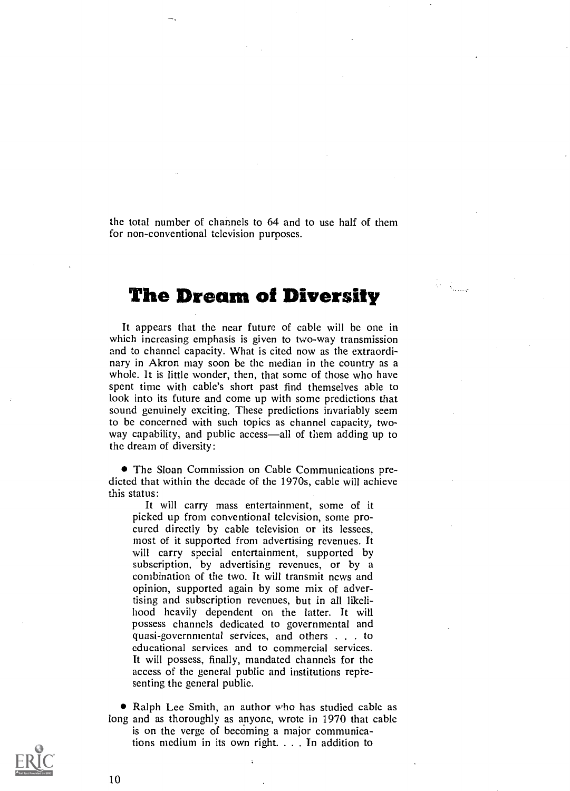the total number of channels to 64 and to use half of them for non-conventional television purposes.

# The Dream of Diversity

It appears that the near future of cable will be one in which increasing emphasis is given to two-way transmission and to channel capacity. What is cited now as the extraordinary in Akron may soon be the median in the country as a whole. It is little wonder, then, that some of those who have spent time with cable's short past find themselves able to look into its future and come up with some predictions that sound genuinely exciting. These predictions invariably seem to be concerned with such topics as channel capacity, twoway capability, and public access—all of them adding up to the dream of diversity:

The Sloan Commission on Cable Communications predicted that within the decade of the 1970s, cable will achieve this status:

It will carry mass entertainment, some of it picked up from conventional television, some procured directly by cable television or its lessees, most of it supported from advertising revenues. It will carry special entertainment, supported by subscription, by advertising revenues, or by a combination of the two. It will transmit ncws and opinion, supported again by some mix of advertising and subscription revenues, but in all likelihood heavily dependent on the latter. It will possess channels dedicated to governmental and quasi-governmental services, and others . . . to educational services and to commercial services. It will possess, finally, mandated channels for the access of the general public and institutions representing the general public.

• Ralph Lee Smith, an author who has studied cable as long and as thoroughly as anyone, wrote in 1970 that cable is on the verge of becoming a major communications medium in its own right. . . . In addition to

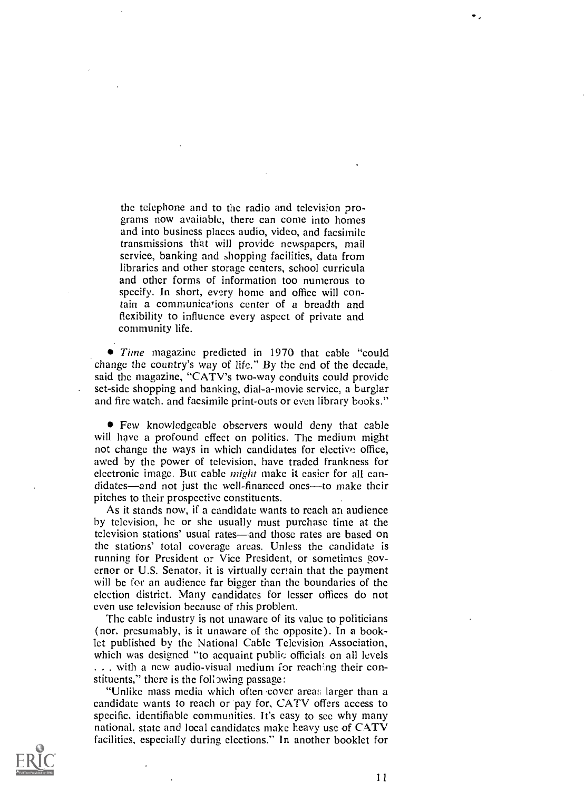the telephone and to the radio and television programs now available, there can come into homes and into business places audio, video, and facsimile transmissions that will provide newspapers, mail service, banking and shopping facilities, data from libraries and other storage centers, school curricula and other forms of information too numerous to specify. In short, every home and office will contain a communications center of a breadth and flexibility to influence every aspect of private and community life.

• Time magazine predicted in 1970 that cable "could change the country's way of life." By the end of the decade, said the magazine, "CATV's two-way conduits could provide set-side shopping and banking, dial-a-movie service, a burglar and fire watch. and facsimile print-outs or even library books."

**•** Few knowledgeable observers would deny that cable will have a profound effect on politics. The medium might not change the ways in which candidates for elective office, awed by the power of television, have traded frankness for electronic image. But cable *might* make it easier for all candidates—and not just the well-financed ones—to make their pitches to their prospective constituents.

As it stands now, if a candidate wants to reach an audience by television, he or she usually must purchase time at the television stations' usual rates—and those rates are based on the stations' total coverage areas. Unless the candidate is running for President or Vice President, or sometimes governor or U.S. Senator, it is virtually certain that the payment will be for an audience far bigger than the boundaries of the election district. Many candidates for lesser offices do not even use television because of this problem,

The cable industry is not unaware of its value to politicians (nor, presumably, is it unaware of the opposite). In a booklet published by the National Cable Television Association, which was designed "to acquaint public officials on all levels ... with a new audio-visual medium for reaching their constituents," there is the following passage:

"Unlike mass media which often cover areas larger than a candidate wants to reach or pay for, CATV offers access to specific, identifiable communities. It's easy to see why many national, state and local candidates make heavy use of CATV facilities, especially during elections." In another booklet for

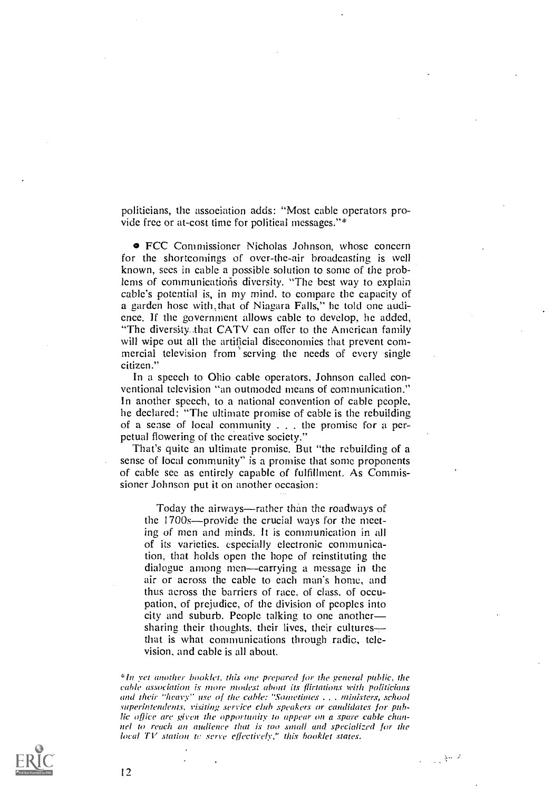politicians, the association adds: "Most cable operators provide free or at-cost time for political messages."

o FCC Commissioner Nicholas Johnson, whose concern for the shortcomings of over-the-air broadcasting is well known, sees in cable a possible solution to sonic of the problems of communications diversity. "The best way to explain cable's potential is, in my mind, to compare the capacity of a garden hose with, that of Niagara Falls," he told one audience. If the government allows cable to develop, he added, "The diversity.,that CATV can offer to the American family will wipe out all the artificial diseconomies that prevent commercial television from serving the needs of every single citizen."

In a speech to Ohio cable operators, Johnson called conventional television "an outmoded means of communication." In another speech, to a national convention of cable people, he declared: "The ultimate promise of cable is the rebuilding of a sense of local community . . . the promise for a perpetual flowering of the creative society."

That's quite an ultimate promise. But "the rebuilding of a sense of local community" is a promise that some proponents of cable see as entirely capable of fulfillment. As Commissioner Johnson put it on another occasion:

Today the airways—rather than the roadways of the  $1700s$ --provide the crucial ways for the meeting of men and minds. It is communication in all of its varieties, especially electronic communication, that holds open the hope of reinstituting the dialogue among men—carrying a message in the air or across the cable to each man's home, and thus across the barriers of race, of class, of occupation, of prejudice, of the division of peoples into city and suburb. People talking to one another sharing their thoughts, their lives, their cultures that is what communications through radio, television, and cable is all about.

\*In yet another booklet, this one prepared for the general public, the cable association is more modest about its flirtations with politicians and their "heavy" use of the cable: "Sometimes ... ministers, school .vuperiniendems, visiting service club speakers or candidates for public office are given the opportunity to appear on a spare cable channel to reach an audience that is too small and specialized for the local TV station to serve effectively," this booklet states.

 $\frac{1}{2}$  ,  $\frac{1}{2}$  ,  $\frac{1}{2}$ 

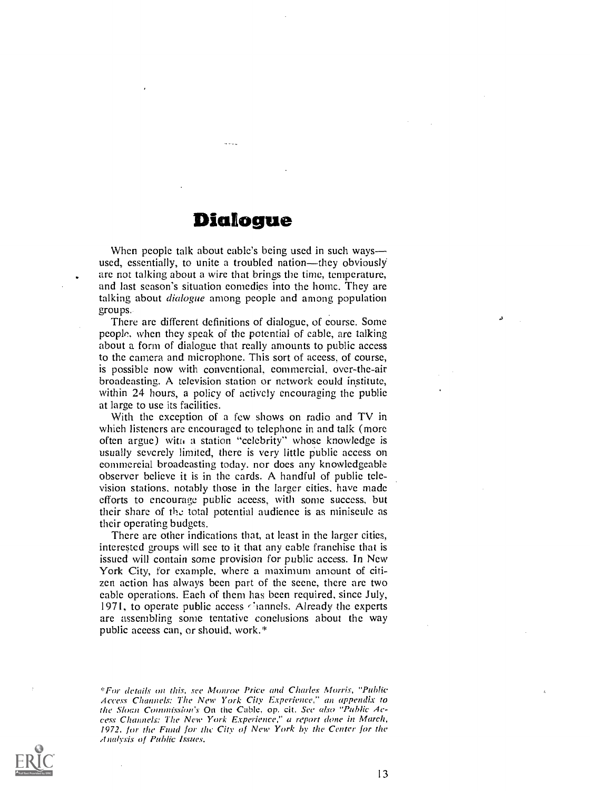# Dialogue

When people talk about eable's being used in such ways used, essentially, to unite a troubled nation—they obviously are not talking about a wire that brings the time, temperature, and last season's situation comedies into the home. They are talking about *dialogue* among people and among population groups.

There are different definitions of dialogue, of course. Some people, when they speak of the potential of cable, are talking about a form of dialogue that really amounts to public access to the camera and microphone. This sort of access, of course, is possible now with conventional, commercial, over-the-air broadcasting. A television station or network could institute, within 24 hours, a policy of actively encouraging the public at large to use its facilities.

With the exception of a few shows on radio and TV in which listeners are encouraged to telephone in and talk (more often argue) with a station "celebrity" whose knowledge is usually severely limited, there is very little public access on commercial broadcasting today. nor does any knowledgeable observer believe it is in the cards. A handful of public television stations, notably those in the larger cities, have made efforts to encourage public access, with sonic success, but their share of the total potential audience is as miniscule as their operating budgets.

There are other indications that, at least in the larger cities, interested groups will see to it that any cable franchise that is issued will contain some provision for public access. In New York City, for example, where a maximum amount of citizen action has always been part of the scene, there are two cable operations. Each of them has been required, since July, 1971, to operate public access channels. Already the experts are assembling some tentative conclusions about the way public access can, or should, work.\*

<sup>\*</sup>For details on this, see Monroe Price and Charles Morris, "Public Access Channels: The New York City Evperience," an appendix to the Sloan Commission's On the Cable, op. cit. See also "Public Access Channels: The New York Experience," a report done in March, 1972, for the Fund for the City of New York by the Center for the Analysis of Public Issues.

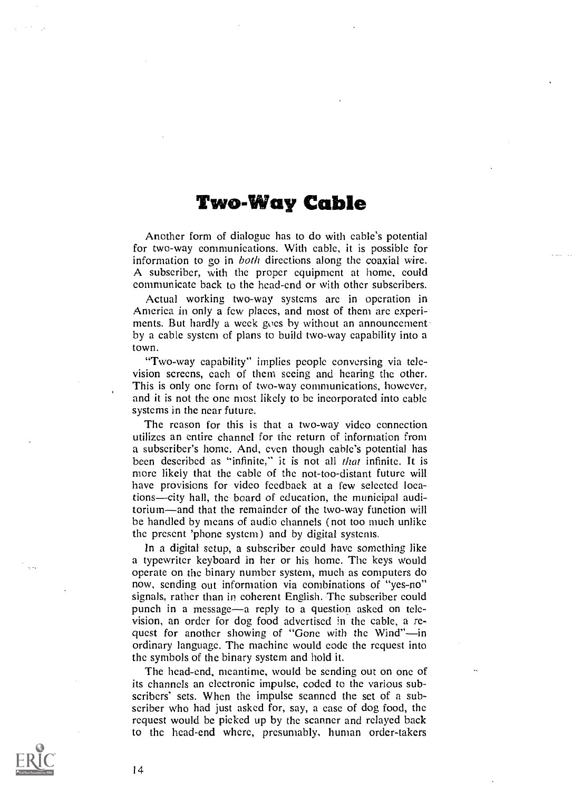# Two-Way Cable

Another form of dialogue has to do with cable's potential for two-way communications. With cable, it is possible for information to go in *both* directions along the coaxial wire. A subscriber, with the proper equipment at home, could communicate back to the head-end or with other subscribers.

Actual working two-way systems are in operation in America in only a few places, and most of them are experiments. But hardly a week goes by without an announcement by a cable system of plans to build two-way capability into a town.

"Two-way capability" implies people conversing via television screens, each of them seeing and hearing the other. This is only one form of two-way communications, however, and it is not the one most likely to be incorporated into cable systems in the near future.

The reason for this is that a two-way video connection utilizes an entire channel for the return of information from a subscriber's home. And, even though cable's potential has been described as "infinite," it is not all *that* infinite. It is more likely that the cable of the not-too-distant future will have provisions for video feedback at a few selected locations—city hall, the board of education, the municipal auditorium—and that the remainder of the two-way function will be handled by means of audio channels (not too much unlike the present 'phone system) and by digital systems.

In a digital setup, a subscriber could have something like a typewriter keyboard in her or his home. The keys would operate on the binary number system, much as computers do now, sending out information via combinations of "yes-no" signals, rather than in coherent English. The subscriber could punch in a message—a reply to a question asked on tele-<br>vision, an order for dog food advertised in the cable, a request for another showing of "Gone with the Wind"-in ordinary language. The machine would code the request into the symbols of the binary system and hold it.

The head-end, meantime, would be sending out on one of its channels an electronic impulse, coded to the various subscribers' sets. When the impulse scanned the set of a subscriber who had just asked for, say, a ease of dog food, the request would be picked up by the scanner and relayed back to the head-end where, presumably, human order-takers

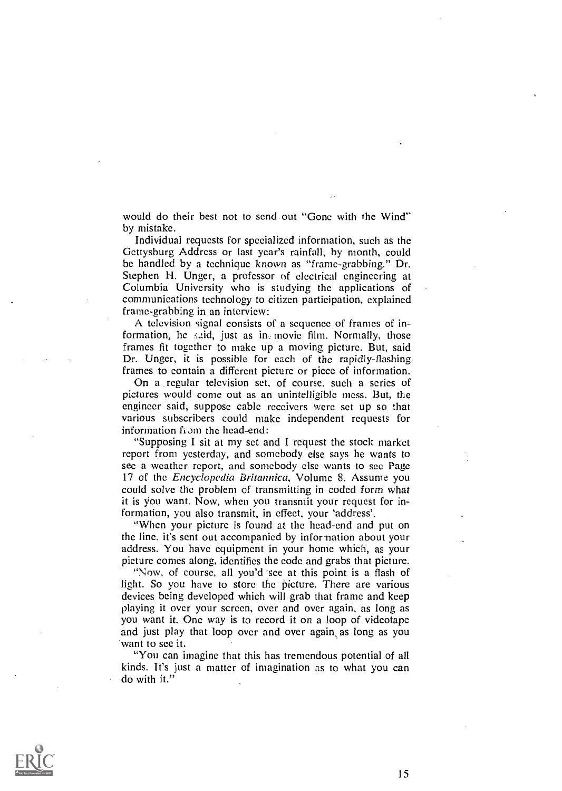would do their best not to send.out "Gone with the Wind" by mistake.

Individual requests for specialized information, such as the Gettysburg Address or last year's rainfall, by month, could be handled by a technique known as "frame-grabbing." Dr. Stephen H. Unger, a professor of electrical engineering at Columbia University who is studying the applications of communications technology to citizen participation, explained frame-grabbing in an interview:

A television signal consists of a sequence of frames of information, he said, just as inemovie film. Normally, those frames fit together to make up a moving picture. But, said Dr. Unger, it is possible for each of the rapidly-flashing frames to contain a different picture or piece of information.

On a regular television set, of course, such a series of pictures would come out as an unintelligible mess. But, the engineer said, suppose cable receivers were set up so that various subscribers could make independent requests for information from the head-end:

"Supposing I sit at my set and I request the stock market report from yesterday, and somebody else says he wants to see a weather report, and somebody else wants to sec Page 17 of the *Encyclopedia Britannica*, Volume 8. Assume you could solve the problem of transmitting in coded form what it is you want. Now, when you transmit your request for information, you also transmit, in effect, your 'address'.

"When your picture is found at the head-end and put on the line, it's sent out accompanied by information about your address. You have equipment in your home which, as your picture comes along, identifies the code and grabs that picture.

"Now, of course, all you'd see at this point is a flash of light. So you have to store the picture. There are various devices being developed which will grab that frame and keep playing it over your screen, over and over again, as long as you want it. One way is to record it on a loop of videotape and just play that loop over and over again, as long as you 'want to see it.

"You can imagine that this has tremendous potential of all kinds. It's just a matter of imagination as to what you can do with it."

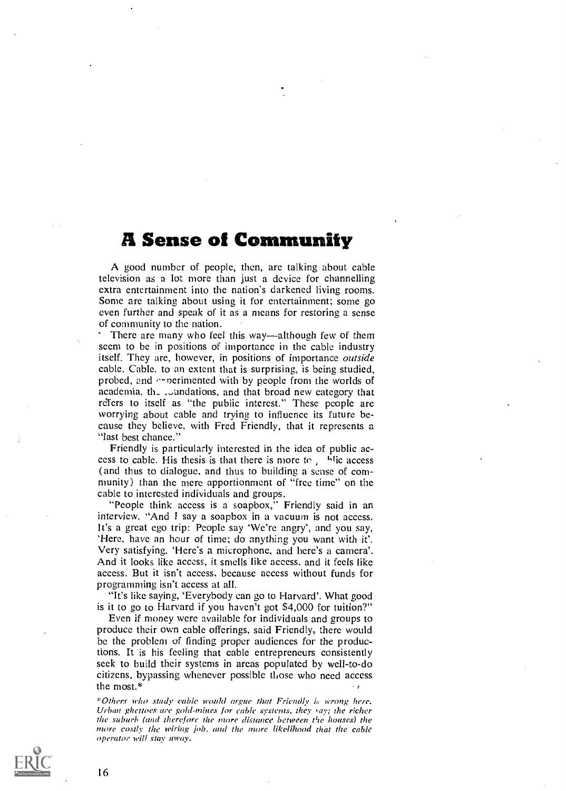# A Sense of Community

A good number of people, then, are talking about cable television as a lot more than just a device for channelling extra entertainment into the nation's darkened living rooms. Some are talking about using it for entertainment; some go even further and speak of it as a means for restoring a sense of community to the nation.

There are many who feel this way—although few of them seem to be in positions of importance in the cable industry itself. They are, however, in positions of importance outside cable. Cable, to an extent that is surprising, is being studied, probed, and experimented with by people from the worlds of academia, the coundations, and that broad new category that refers to itself as "the public interest." These people are worrying about cable and trying to influence its future because they believe, with Fred Friendly, that it represents a "last best chance."

Friendly is particularly interested in the idea of public access to cable. His thesis is that there is more to  $\mu$ , blic access (and thus to dialogue, and thus to building a sense of community) than the mere apportionment of "free time" on the cable to interested individuals and groups.

"People think access is a soapbox," Friendly said in an interview. "And I say a soapbox in a vacuum is not access. It's a great ego trip: People say 'We're angry', and you say, `Here, have an hour of time; do anything you want with it'. Very satisfying. 'Here's a microphone, and here's a camera'. And it looks like access, it smells like access, and it feels like access. But it isn't access, because access without funds for programming isn't access at all.

"It's like saying, 'Everybody can go to Harvard'. What good is it to go to Harvard if you haven't got \$4,000 for tuition?"

Even if money were available for individuals and groups to produce their own cable offerings, said Friendly, there would be the problem of finding proper audiences for the productions. It is his feeling that cable entrepreneurs consistently seek to build their systems in areas populated by well-to-do citizens, bypassing whenever possible those who need access the most.\*

\*Others who study cable would argue that Friendly is wrong here. Urban ghettoes are gold-mines for cable systems, they say; the richer the suburb (aml therefore the more distance between the houses) the more costly the wiring job, and the more likelihood that the cable operator will stay away.

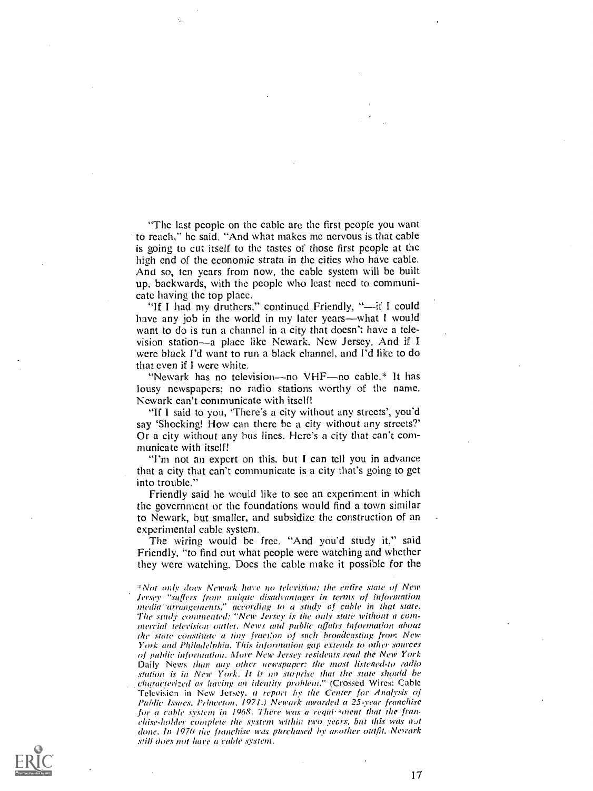"The last people on the cable arc the first people you want to reach," he said. "And what makes me nervous is that cable is going to cut itself to the tastes of those first people at the high end of the economic strata in the cities who have cable. And so, ten years from now, the cable system will be built up, backwards, with the people who least need to communicate having the top place.

"If I had my druthers," continued Friendly, "-if I could have any job in the world in my later years—what I would want to do is run a channel in a city that doesn't have a television station-a place like Newark, New Jersey. And if I were black I'd want to run a black channel, and I'd like to do that even if I were white.

"Newark has no television—no VHF—no cable.\* It has lousy newspapers; no radio stations worthy of the name. Newark can't communicate with itself!

"If I said to you, 'There's a city without any streets', you'd say 'Shocking! How can there be a city without any streets?' Or a city without any bus lines. Here's a city that can't communicate with itself!

"I'm not an expert on this, but I can tell you in advance that a city that can't communicate is a city that's going to get into trouble."

Friendly said he would like to see an experiment in which the government or the foundations would find a town similar to Newark, but smaller, and subsidize the construction of an experimental cable system.

The wiring would be free. "And you'd study it," said Friendly, "to find out what people were watching and whether they were watching. Does the cable make it possible for the



<sup>&</sup>quot;Not only does Newark have no television; the entire state Of New Jersey "suffers from unique disadvantages in terms of information media arrangements," according to a study of cable in that state. The study commented: "New Jersey is the only state without a commercial television outlet. News and public affairs information about the state constitute a tiny fraction of such broadcasting from New York and Philadelphia. This information gap extends to other sources of public informaibm. More New Jersey residents read the New York Daily News than any other newspaper: the most listened-to radio station is in New York. It is no surprise that the state should he characterized as having an identity problem." (Crossed Wires: Cable Television in New Jersey. a report by the Center for Analysis of Public Issues. Princeton, 1971.) Newark awarded a 25-year franchise for a cable system in 1968. There was a requiement that the franchise-holder complete the system within two years, but this was not done. In 1970 the franchise was purchased by another outfit. Newark still does not have a cable system.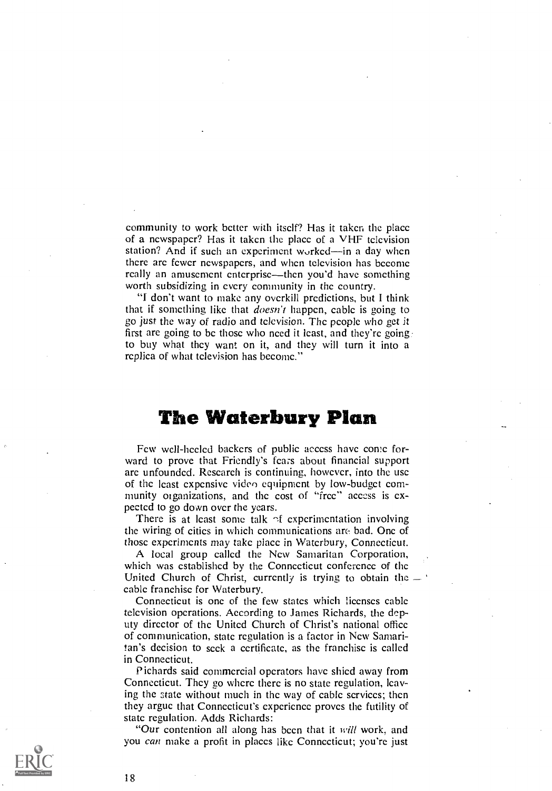community to work better with itself? Has it taken the place of a newspaper? Has it taken the place of a VHF television station? And if such an experiment worked-in a day when there are fewer newspapers, and when television has become really an amusement enterprise—then you'd have something worth subsidizing in every community in the country.

"I don't want to make any overkill predictions, but I think that if something like that doesn't happen, cable is going to go just the way of radio and television. The people who get it first are going to be those who need it least, and they're going: to buy what they want on it, and they will turn it into a replica of what television has become."

# The Waterbury Plan

Few well-heeled backers of public access have conic forward to prove that Friendly's fears about financial support are unfounded. Research is continuing, however, into the use of the least expensive video equipment by low-budget community organizations, and the cost of "free" access is expected to go down over the years.

There is at least some talk  $\gamma$  experimentation involving the wiring of cities in which communications are. bad. One of those experiments may take place in Waterbury, Connecticut.

A local group called the New Samaritan Corporation, which was established by the Connecticut conference of the United Church of Christ, currently is trying to obtain the  $$ cable franchise for Waterbury.

Connecticut is one of the few states which licenses cable television operations. According to James Richards, the deputy director of the United Church of Christ's national office of communication, state regulation is a factor in New Samaritan's decision to seek a certificate, as the franchise is called in Connecticut.

Pichards said commercial operators have shied away from Connecticut. They go where there is no state regulation, leaving the state without much in the way of cable services; then they argue that Connecticut's experience proves the futility of state regulation. Adds Richards:

"Our contention all along has been that it will work, and you *can* make a profit in places like Connecticut; you're just

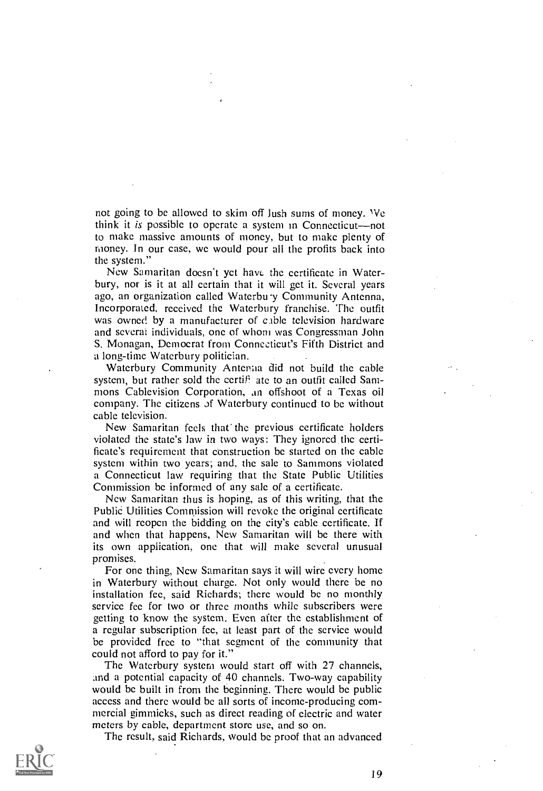not going to be allowed to skim off lush sums of money. We think it is possible to operate a system in Connecticut-not to make massive amounts of money, but to make plenty of money. In our case, we would pour all the profits back into the system."

New Samaritan doesn't yet have the certificate in Waterbury, nor is it at all certain that it will get it. Several years ago, an organization called Waterbury Community Antenna, Incorporated, received the Waterbury franchise. The outfit was owned by a manufacturer of cable television hardware and scverai individuals, one of whom was Congressman John S. Monagan, Democrat from Connecticut's Fifth District and a long-time Waterbury politician.

Waterbury Community Antenna did not build the cable system, but rather sold the certif ate to an outfit called Sammons Cablevision Corporation, in offshoot of a Texas oil company. The citizens of Waterbury continued to be without cable television.

New Samaritan feels that the previous certificate holders violated the state's law in two ways: They ignored the certificate's requirement that construction be started on the cable system within two years; and, the sale to Sammons violated a Connecticut law requiring that the State Public Utilities Commission be informed of any sale of a certificate.

New Samaritan thus is hoping, as of this writing, that the Publid Utilities Commission will revoke the original certificate and will reopen the bidding on the city's cable certificate. If and when that happens, New Samaritan will be there with its own application, one that will make several unusual promises.

For one thing, Ncw Samaritan says it will wire every home in Waterbury without charge. Not only would there be no installation fee, said Richards; there would be no monthly service fee for two or three months while subscribers were getting to know the system, Even after the establishment of a regular subscription fee, at least part of the service would be provided free to "that segment of the community that could not afford to pay for it."

The Waterbury system would start off with 27 channels, and a potential capacity of 40 channels. Two-way capability would be built in from the beginning. There would be public access and there would be all sorts of income-producing commercial gimmicks, such as direct reading of electric and water meters by cable, department store use, and so on.

The result, said Richards, would be proof that an advanced

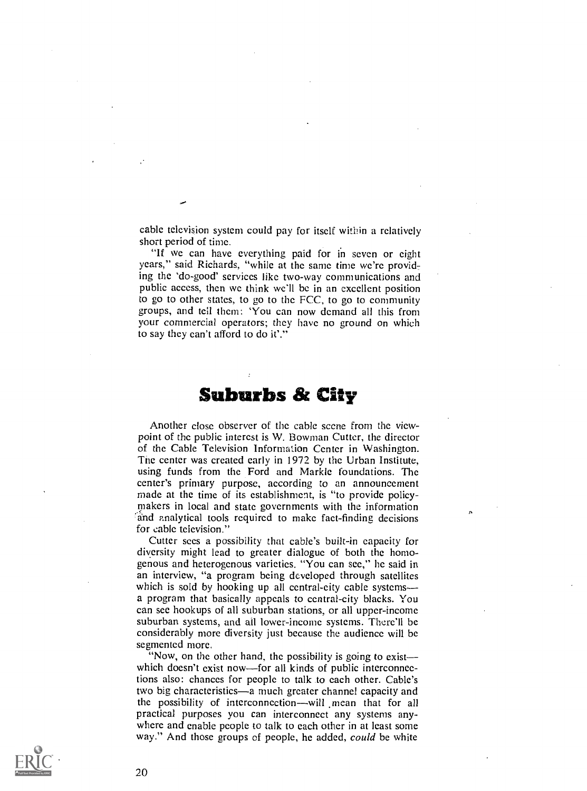cable television system could pay for itself within a relatively short period of time.

"If we can have everything paid for in seven or eight years," said Richards, "while at the same time we're providing the `do-good' services like two-way communications and public access, then we think we'll be in an excellent position to go to other states, to go to the FCC, to go to community groups, and tell them: You can now demand all this from your commercial operators; they have no ground on which to say they can't afford to do it'."

# Suburbs & City

Another close observer of the cable scene from the viewpoint of the public interest is W. Bowman Cutter, the director of the Cable Television Information Center in Washington. The center was created early in 1972 by the Urban Institute, using funds from the Ford and Markle foundations. The center's primary purpose, according to an announcement made at the time of its establishment, is "to provide policymakers in local and state governments with the information and analytical tools required to make fact-finding decisions for cable television."

Cutter secs a possibility that cable's built-in capacity for diversity might lead to greater dialogue of both the homogenous and heterogenous varieties. "You can see," he said in an interview, "a program being developed through satellites which is sold by hooking up all central-city cable systems a program that basically appeals to central-city blacks. You can see hookups of all suburban stations, or all upper-income suburban systems, and all lower-income systems. There'll be considerably more diversity just because the audience will be segmented more.

"Now, on the other hand, the possibility is going to exist which doesn't exist now—for all kinds of public interconnections also: chances for people to talk to each other. Cable's two big characteristics-a much greater channel capacity and the possibility of interconnection—will mean that for all practical purposes you can interconnect any systems anywhere and enable people to talk to each other in at least some way." And those groups of people, he added, could be white

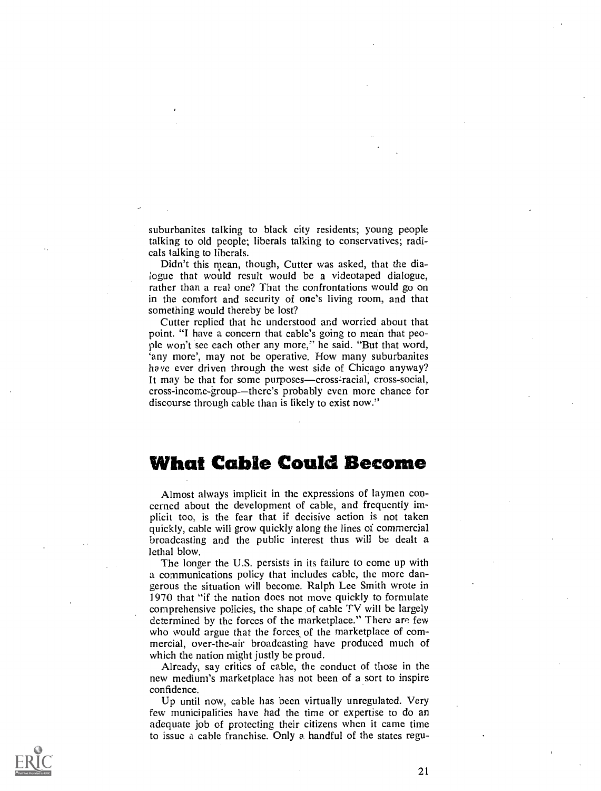suburbanites talking to black city residents; young people talking to old people; liberals talking to conservatives; radicals talking to liberals.

Didn't this mean, though, Cutter was asked, that the dialogue that would result would be a videotaped dialogue, rather than a real one? That the confrontations would go on in the comfort and security of one's living room, and that something would thereby be lost?

Cutter replied that he understood and worried about that point. "I have a concern that cable's going to mean that people won't see each other any more," he said. "But that word, `any more', may not be operative. How many suburbanites have ever driven through the west side of Chicago anyway? It may be that for some purposes—cross-racial, cross-social, cross-income-group---there's probably even more chance for discourse through cable than is likely to exist now."

# What Cable Could Become

Almost always implicit in the expressions of laymen concerned about the development of cable, and frequently implicit too, is the fear that if decisive action is not taken quickly, cable will grow quickly along the lines of commercial broadcasting and the public interest thus will be dealt a lethal blow.

The longer the U.S. persists in its failure to come up with a communications policy that includes cable, the more dangerous the situation will become. Ralph Lee Smith wrote in 1970 that "if the nation does not move quickly to formulate comprehensive policies, the shape of cable TV will be largely determined by the forces of the marketplace." There are few who would argue that the forces of the marketplace of commercial, over-the-air broadcasting have produced much of which the nation might justly be proud.

Already, say critics of cable, the conduct of those in the new medium's marketplace has not been of a sort to inspire confidence.

Up until now, cable has been virtually unregulated. Very few municipalities have had the time or expertise to do an adequate job of protecting their citizens when it came time to issue a cable franchise. Only a handful of the states regu-

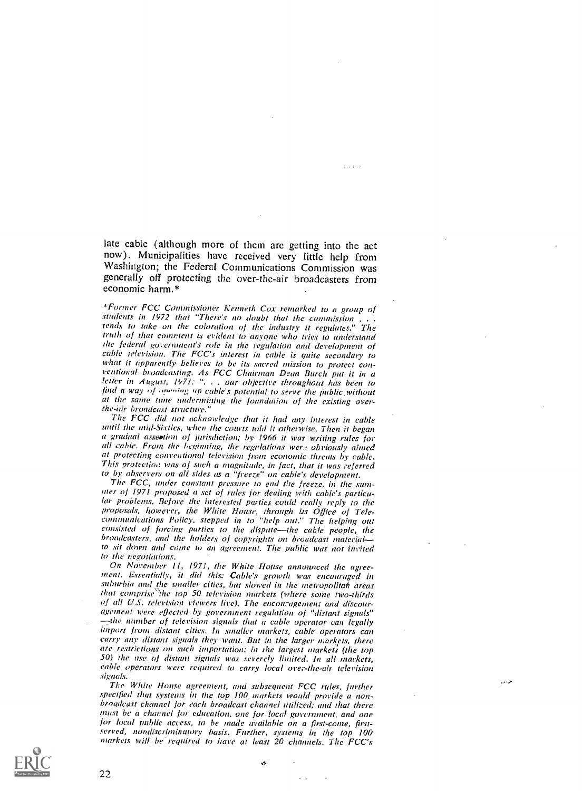late cable (although more of them arc getting into the act now). Municipalities have received very little help from Washington; the Federal Communications Commission was generally off protecting the over-the-air broadcasters from economic harm.\*

 $1.1.14.1$ 

\*Former FCC Commissioner Kenneth Cox remarked to a group of students in 1972 that "There's no doubt that the commission . . . tends to take on the coloration of the industry it regulates." The truth of that comment is evident to anyone who tries to understand the federal government's role in the regulation and development of cable television. The FCC's interest in cable is quite secondary to what it apparently believes to be its sacred mission to protect conventional broadcasting. As FCC Chairman Dean Burch put it in a letter in August, 1971: ". . . our objective throughout has been to find a way of opening up cable's potential to serve the public without at the same time undermining the foundation of the existing overthe-air broadcast structure."

The FCC did not acknowledge that it had any interest in cable until the mid-Sixties, when the courts told it otherwise. Then it began a gradual assertion of jurisdiction; by 1966 it was writing rules for all cable. From the beginning, the regulations were obviously aimed at protecting conventional television from economic threats by cable. at protecting conventional television from economic threats by cable.<br>This protection was of such a magnitude, in fact, that it was referred<br>to by observers on all sides as a "freeze" on cable's development.

The FCC, under constant pressure to end the freeze, in the summer of 1971 proposed a set of rules for dealing with cable's particular problems. Before the interested parties could really reply to the proposals, however, the White House, through its Office of Telecommunications Policy, stepped in to "help out." The helping out<br>consisted of forcing parties to the dispute—the cable people, the consisted of forcing parties to the dispute—the cable people, the<br>broadcasters, and the holders of copyrights on broadcast material to sit down and come to an agreement. The public was not invited to the negotiations,

On November 11, 1971, the White House announced the agreement. Essentially, it did this: Cable's growth was encouraged in suburbia and the smaller cities, but slowed in the metropolitah areas that comprise the top 50 television markets (where some two-thirds of all U.S. television viewers live). The encouragement and discouragement were eflected by government regulation of "distant signals"  $\rightarrow$  the number of television signals that a cable operator can legally import from distant cities. In smaller markets, cable operators can carry any distant signals they want. But in the larger markets, there<br>are restrictions on such importation; in the largest markets (the top 50) the use of distant signals was severely limited. In all markets, cable operators were required to carry local over-the-air television signals.

The White House agreement, and subsequent FCC rules, further specified that systems in the top 100 markets would provide a nonbroadcast channel for each broadcast channel utilized; and that there must he a channel for education, one for local government, and one for local public access, to he made available on a first-come, firstserved, nondiscriminatory basis. Further, systems in the top 100 markets will be required to have at least 20 channels. The FCC's

22

 $\mathbf{a}$ 

مر در .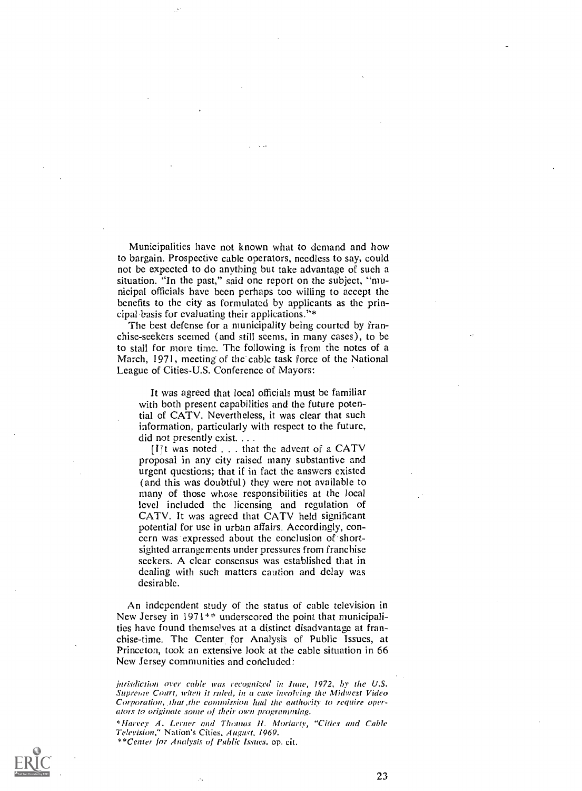Municipalities have not known what to demand and how to bargain. Prospective cable operators, needless to say, could not be expected to do anything but take advantage of such a situation. "In the past," said one report on the subject, "municipal officials have been perhaps too willing to accept the benefits to the city as formulated by applicants as the principal basis for evaluating their applications."\*

The best defense for a municipality being courted by franchise- seekers seemed (and still seems, in many cases), to be to stall for more time. The following is from the notes of a March, 1971, meeting of the cable task force of the National League of Cities-U.S. Conference of Mayors:

It was agreed that local officials must be familiar with both present capabilities and the future potential of CATV. Nevertheless, it was clear that such information, particularly with respect to the future, did not presently exist. . . .

 $[I]$ t was noted . . . that the advent of a CATV proposal in any city raised many substantive and urgent questions; that if in fact the answers existed (and this was doubtful) they were not available to many of those whose responsibilities at the local level included the licensing and regulation of CATV. It was agreed that CATV held significant potential for use in urban affairs. Accordingly, concern was 'expressed about the conclusion of shortsighted arrangements under pressures from franchise seekers. A clear consensus was established that in dealing with such matters caution and delay was desirable.

An independent study of the status of cable television in New Jersey in 1971\*\* underscored the point that municipalities have found themselves at a distinct disadvantage at franchise-time. The Center for Analysis of Public Issues, at Princeton, took an extensive look at the cable situation in 66 New Jersey communities and concluded:

jurisdiction over cable was recognized in June, 1972, by the U.S. Supreme Court, when it ruled, in a case involving the Midwest Video Corporation, that the commission had the authority to require operators to originate some of their own programming.

\*Harvey A. Lerner and Thomas 11. Moriarty, "Cities and Cable Television," Nation's Cities, August, 1969,

"Center for Analysis of Public Issues. op. cit.

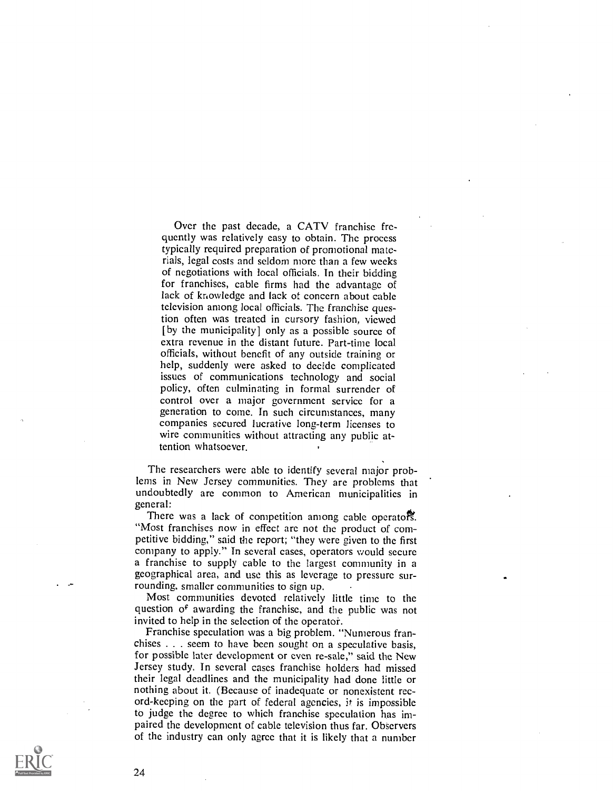Over the past decade, a CATV franchise frequently was relatively easy to obtain. The process typically required preparation of promotional materials, legal costs and seldom more than a few weeks of negotiations with local officials. In their bidding for franchises, cable firms had the advantage of lack of knowledge and lack of concern about cable television among local officials. The franchise question often was treated in cursory fashion, viewed [by the municipality] only as a possible source of extra revenue in the distant future. Part-time local officials, without benefit of any outside training or help, suddenly were asked to decide complicated issues of communications technology and social policy, often culminating in formal surrender of control over a major government service for a generation to come. In such circumstances, many companies secured lucrative long-term licenses to wire communities without attracting any public attention whatsoever.

The researchers were able to identify several major problems in New Jersey communities. They are problems that undoubtedly are common to American municipalities in general:

There was a lack of competition among cable operators. "Most franchises now in effect are not the product of competitive bidding," said the report; "they were given to the first company to apply." In several cases, operators would secure a franchise to supply cable to the largest community in a geographical area, and use this as leverage to pressure surrounding, smaller communities to sign up.

Most communities devoted relatively little time to the question of awarding the franchise, and the public was not invited to help in the selection of the operator.

Franchise speculation was a big problem. "Numerous franchises . . . seem to have been sought on a speculative basis, for possible later development or even re-sale," said the New Jersey study. In several cases franchise holders had missed their legal deadlines and the municipality had done little or nothing about it. (Because of inadequate or nonexistent record-keeping on the part of federal agencies, it is impossible to judge the degree to which franchise speculation has impaired the development of cable television thus far. Observers of the industry can only agree that it is likely that a number

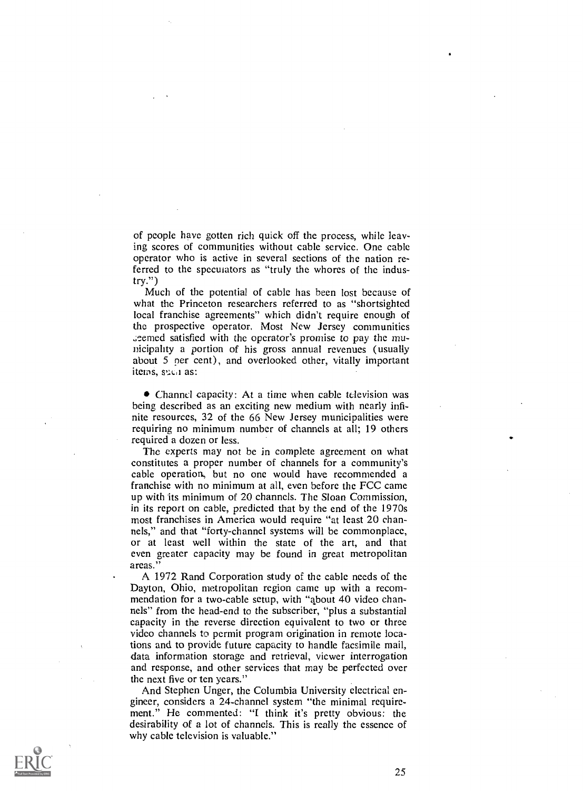of people have gotten rich quick off the process, while leaving scores of communities without cable service. One cable operator who is active in several sections of the nation referred to the speculators as "truly the whores of the industry.")

Much of the potential of cable has been lost because of what the Princeton researchers referred to as "shortsighted local franchise agreements" which didn't require enough of the prospective operator. Most New Jersey communities seemed satisfied with the operator's promise to pay the municipality a portion of his gross annual revenues (usually about 5 per cent), and overlooked other, vitally important items, such as:

Channel capacity: At a time when cable television was being described as an exciting new medium with nearly infinite resources, 32 of the 66 New Jersey municipalities were requiring no minimum number of channels at all; 19 others required a dozen or less.

The experts may not be in complete agreement on what constitutes a proper number of channels for a community's cable operation, but no one would have recommended a franchise with no minimum at all, even before the FCC came up with its minimum of 20 channels. The Sloan Commission, in its report on cable, predicted that by the end of the 1970s most franchises in America would require "at least 20 channels," and that "forty-channel systems will be commonplace, or at least well within the state of the art, and that even greater capacity may be found in great metropolitan areas."

A 1972 Rand Corporation study of the cable needs of the Dayton, Ohio, metropolitan region came up with a recommendation for a two-cable setup, with "about 40 video channels" from the head-end to the subscriber, "plus a substantial capacity in the reverse direction equivalent to two or three video channels to permit program origination in remote locations and to provide future capacity to handle facsimile mail, data information storage and retrieval, viewer interrogation and response, and other services that may be perfected over the next five or ten years."

And Stephen Unger, the Columbia University electrical engineer, considers a 24-channel system "the minimal requirement." He commented: "I think it's pretty obvious: the desirability of a lot of channels. This is really the essence of why cable television is valuable."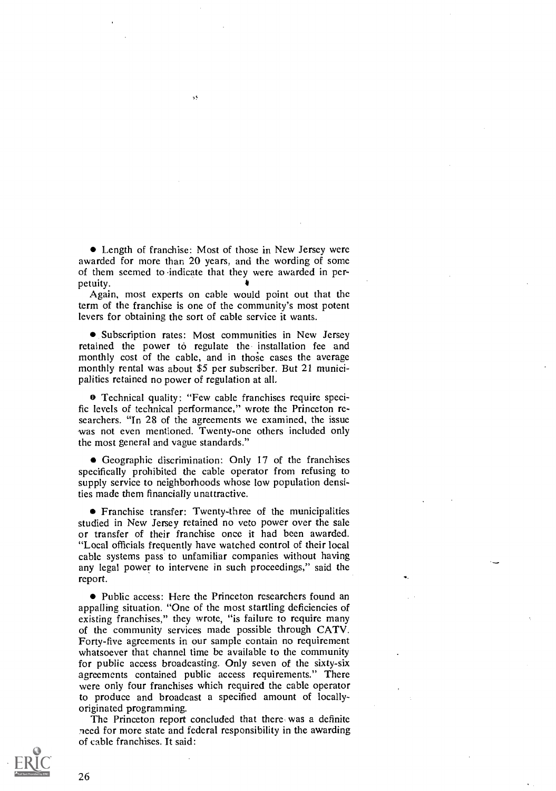Length of franchise: Most of those in New Jersey were awarded for more than 20 years, and the wording of some of them seemed to indicate that they were awarded in perpetuity.

Again, most experts on cable would point out that the term of the franchise is one of the community's most potent levers for obtaining the sort of cable service it wants.

Subscription rates: Most communities in New Jersey retained the power to regulate the installation fee and monthly cost of the cable, and in those cases the average monthly rental was about \$5 per subscriber. But 21 municipalities retained no power of regulation at all.

Technical quality: "Few cable franchises require specific levels of technical performance," wrote the Princeton researchers. "In 28 of the agreements we examined, the issue was not even mentioned. Twenty-one others included only the most general and vague standards."

Geographic discrimination: Only 17 of the franchises specifically prohibited the cable operator from refusing to supply service to neighborhoods whose low population densities made them financially unattractive.

Franchise transfer: Twenty-three of the municipalities studied in New Jersey retained no veto power over the sale or transfer of their franchise once it had been awarded. "Local officials frequently have watched control of their local cable systems pass to unfamiliar companies without having any legal power to intervene in such proceedings," said the report.

Public access: Here the Princeton researchers found an appalling situation. "One of the most startling deficiencies of existing franchises," they wrote, "is failure to require many of the community services made possible through CATV. Forty-five agreements in our sample contain no requirement whatsoever that channel time be available to the community for public access broadcasting. Only seven of the sixty-six agreements contained public access requirements." There were only four franchises which required the cable operator to produce and broadcast a specified amount of locallyoriginated programming.

The Princeton report concluded that there was a definite need for more state and federal responsibility in the awarding of cable franchises. It said:

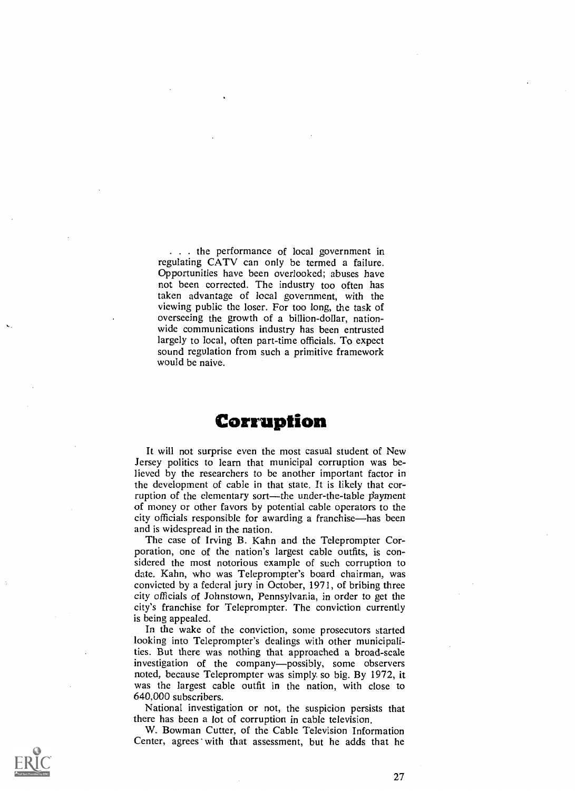. . the performance of local government in regulating CATV can only be termed a failure. Opportunities have been overlooked; abuses have not been corrected. The industry too often has taken advantage of local government, with the viewing public the loser. For too long, the task of overseeing the growth of a billion-dollar, nationwide communications industry has been entrusted largely to local, often part-time officials. To expect sound regulation from such a primitive framework would be naive.

# Corruption

It will not surprise even the most casual student of New Jersey politics to learn that municipal corruption was believed by the researchers to be another important factor in the development of cable in that state. It is likely that corruption of the elementary sort—the under-the-table payment of money or other favors by potential cable operators to the city officials responsible for awarding a franchise—has been and is widespread in the nation.

The case of Irving B. Kahn and the Teleprompter Corporation, one of the nation's largest cable outfits, is considered the most notorious example of such corruption to date. Kahn, who was Teleprompter's board chairman, was convicted by a federal jury in October, 1971, of bribing three city officials of Johnstown, Pennsylvania, in order to get the city's franchise for Teleprompter. The conviction currently is being appealed.

In the wake of the conviction, some prosecutors started looking into Teleprompter's dealings with other municipalities. But there was nothing that approached a broad-scale investigation of the company-possibly, some observers noted, because Teleprompter was simply. so big. By 1972, it was the largest cable outfit in the nation, with close to 640,000 subscribers.

National investigation or not, the suspicion persists that there has been a lot of corruption in cable television.

W. Bowman Cutter, of the Cable Television Information Center, agrees' with that assessment, but he adds that he

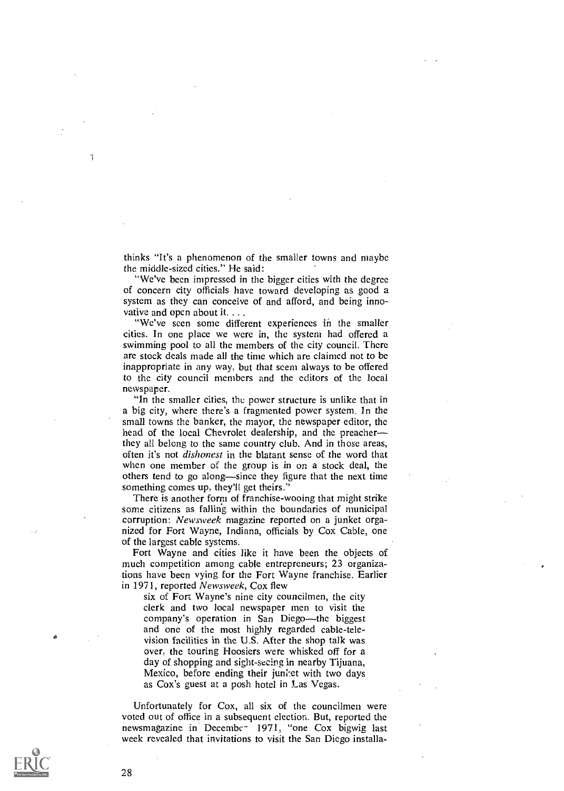thinks "It's a phenomenon of the smaller towns and maybe the middle-sized cities." He said:

"We've been impressed in the bigger cities with the degree of concern city officials have toward developing as good a system as they can conceive of and afford, and being inno-

vative and open about it. . . .<br>"We've seen some different experiences in the smaller cities. In one place we were in, the system had offered a swimming pool to all the members of the city council. There are stock deals made all the time which are claimed not to be inappropriate in any way, but that seem always to be offered to the city council members and the editors of the local newspaper.

"In the smaller cities, the power structure is unlike that in a big city, where there's a fragmented power system. In the small towns the banker, the mayor, the newspaper editor, the head of the local Chevrolet dealership, and the preacher they all belong to the same country club. And in those areas, often it's not dishonest in the blatant sense of the word that when one member of the group is in on a stock deal, the others tend to go along—since they figure that the next time something comes up, they'll get theirs.'

There is another form of franchise-wooing that might strike some citizens as falling within the boundaries of municipal corruption: Newsweek magazine reported on a junket organized for Fort Wayne, Indiana, officials by Cox Cable, one of the largest cable systems.

Fort Wayne and cities like it have been the objects of much competition among cable entrepreneurs; 23 organizations have been vying for the Fort Wayne franchise. Earlier in 1971, reported Newsweek, Cox flew

six of Fort Wayne's nine city councilmen, the city clerk and two local newspaper men to visit the company's operation in San Diego-the biggest and one of the most highly regarded cable-television facilities in the U.S. After the shop talk was over, the touring Hoosiers were whisked off for a day of shopping and sight-seeing in nearby Tijuana, Mexico, before ending their junket with two days as Cox's guest at a posh hotel in Las Vegas.

Unfortunately for Cox, all six of the councilmen were voted out of office in a subsequent election. But, reported the newsmagazine in December 1971, "one Cox bigwig last week revealed that invitations to visit the San Diego installa-

28

N,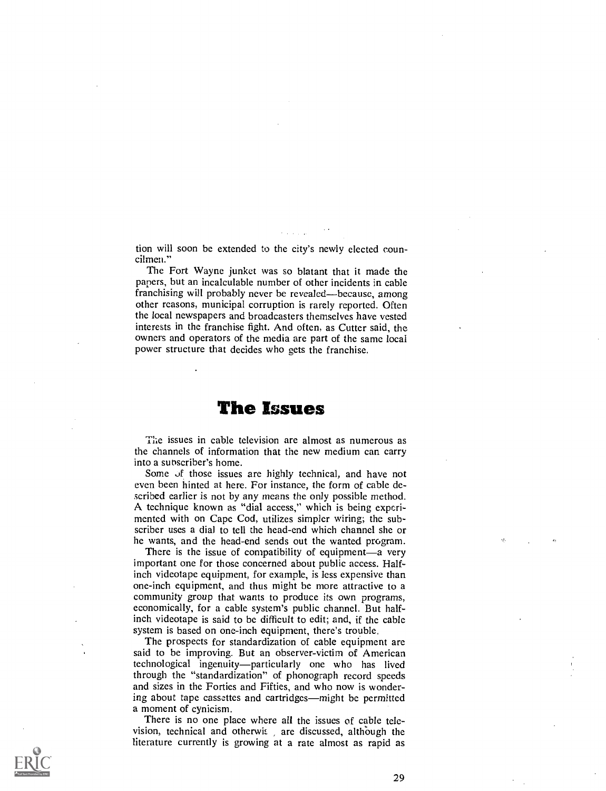tion will soon be extended to the city's newly elected councilmen."

The Fort Wayne junket was so blatant that it made the papers, but an incalculable number of other incidents in cable franchising will probably never be revealed-because, among other reasons, municipal corruption is rarely reported. Often the local newspapers and broadcasters themselves have vested interests in the franchise fight. And often, as Cutter said, the owners and operators of the media are part of the same local power structure that decides who gets the franchise.

# The Issues

The issues in cable television are almost as numerous as the channels of information that the new medium can carry into a subscriber's home.

Some of those issues are highly technical, and have not even been hinted at here. For instance, the form of cable described earlier is not by any means the only possible method. A technique known as "dial access," which is being experimented with on Cape Cod, utilizes simpler wiring; the subscriber uses a dial to tell the head-end which channel she or he wants, and the head-end sends out the wanted program.

There is the issue of compatibility of equipment—a very important one for those concerned about public access. Halfinch videotape equipment, for example, is less expensive than one-inch equipment, and thus might be more attractive to a community group that wants to produce its own programs, economically, for a cable system's public channel. But halfinch videotape is said to be difficult to edit; and, if the cable system is based on one-inch equipment, there's trouble.

The prospects for standardization of cable equipment are said to be improving. But an observer-victim of American technological ingenuity-particularly one who has lived through the "standardization" of phonograph record speeds and sizes in the Forties and Fifties, and who now is wondering about tape cassettes and cartridges-might be permitted a moment of cynicism.

There is no one place where all the issues of cable television, technical and otherwis are discussed, although the literature currently is growing at a rate almost as rapid as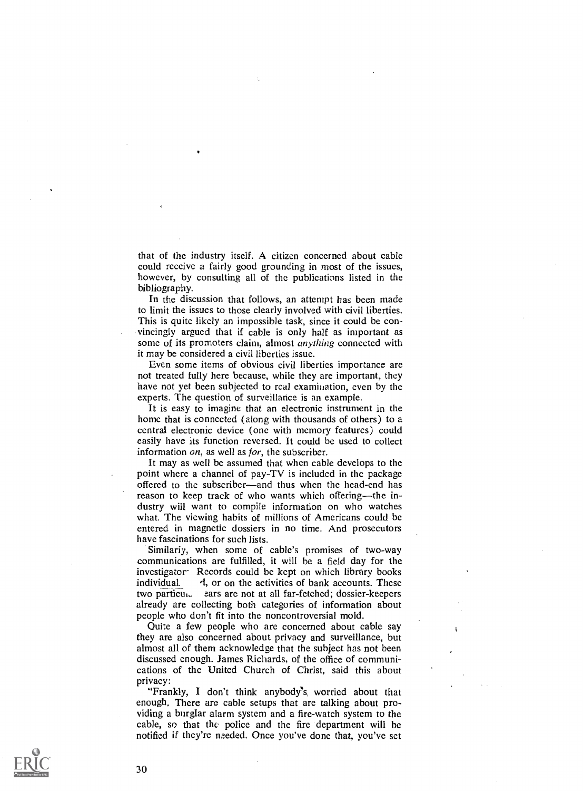that of the industry itself. A citizen concerned about cable could receive a fairly good grounding in most of the issues, however, by consulting all of the publications listed in the bibliography.

In the discussion that follows, an attempt has been made to limit the issues to those clearly involved with civil liberties. This is quite likely an impossible task, since it could be convincingly argued that if cable is only half as important as some of its promoters claim, almost *anything* connected with it may be considered a civil liberties issue.

Even some items of obvious civil liberties importance are not treated fully here because, while they are important, they have not yet been subjected to real examination, even by the experts. The question of surveillance is an example.

It is easy to imagine that an electronic instrument in the home that is connected (along with thousands of others) to a central electronic device (one with memory features) could easily have its function reversed. It could be used to collect information  $\omega n$ , as well as  $\delta \omega r$ , the subscriber.

It may as well be assumed that when cable develops to the point where a channel of pay-TV is included in the package offered to the subscriber—and thus when the head-end has reason to keep track of who wants which offering—the industry will want to compile information on who watches what. The viewing habits of millions of Americans could be entered in magnetic dossiers in no time. And prosecutors have fascinations for such lists.

Similariy, when some of cable's promises of two-way communications are fulfilled, it will be a field day for the investigator Records could be kept on which library books individual.  $\dot{d}$ , or on the activities of bank accounts. These two particui, ears are not at all far-fetched; dossier-keepers already are collecting both categories of information about people who don't fit into the noncontroversial mold.

Quite a few people who are concerned about cable say they are also concerned about privacy and surveillance, but almost all of them acknowledge that the subject has not been discussed enough. James Richards, of the office of communications of the United Church of Christ, said this about privacy:

"Frankly, I don't think anybody's worried about that enough. There are cable setups that are talking about providing a burglar alarm system and a fire-watch system to the cable, so that the police and the fire department will be notified if they're meded. Once you've done that, you've set

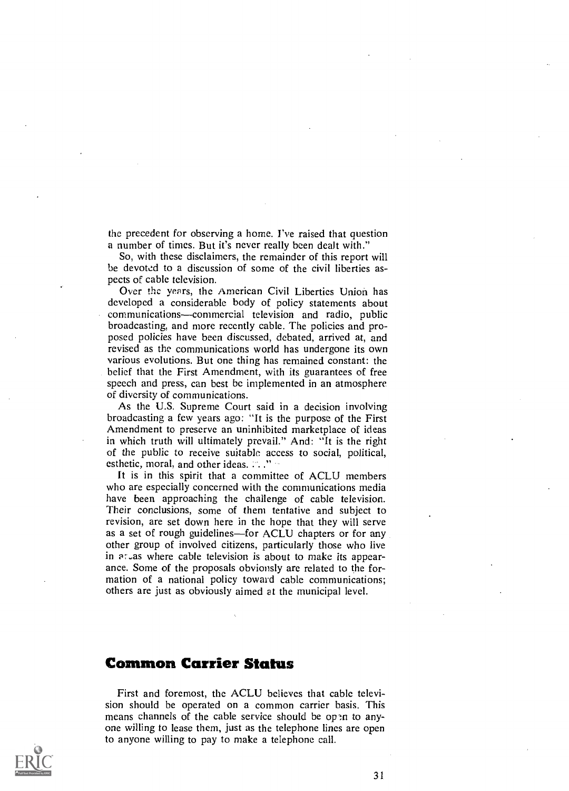the precedent for observing a home. I've raised that question a number of times. But it's never really been dealt with."

So, with these disclaimers, the remainder of this report will be devoted to a discussion of some of the civil liberties aspects of cable television.

Over the years, the American Civil Liberties Union has developed a considerable body of policy statements about communications-commercial television and radio, public broadcasting, and more recently cable. The policies and proposed policies have been discussed, debated, arrived at, and revised as the communications world has undergone its own various evolutions. But one thing has remained constant: the belief that the First Amendment, with its guarantees of free speech and press, can best be implemented in an atmosphere of diversity of communications.

As the U.S. Supreme Court said in a decision involving broadcasting a few years ago: "It is the purpose of the First Amendment to preserve an uninhibited marketplace of ideas in which truth will ultimately prevail." And: "It is the right of the public to receive suitable access to social, political, esthetic, moral, and other ideas.  $\therefore$  "

It is in this spirit that a committee of ACLU members who are especially concerned with the communications media have been approaching the challenge of cable television. Their conclusions, some of them tentative and subject to revision, are set down here in the hope that they will serve as a set of rough guidelines-for ACLU chapters or for any other group of involved citizens, particularly those who live in at as where cable television is about to make its appearance. Some of the proposals obviously are related to the formation of a national policy toward cable communications; others are just as obviously aimed at the municipal level.

#### Common Carrier Status

First and foremost, the ACLU believes that cable television should be operated on a common carrier basis. This means channels of the cable service should be open to anyone willing to lease them, just as the telephone lines are open to anyone willing to pay to make a telephone call.

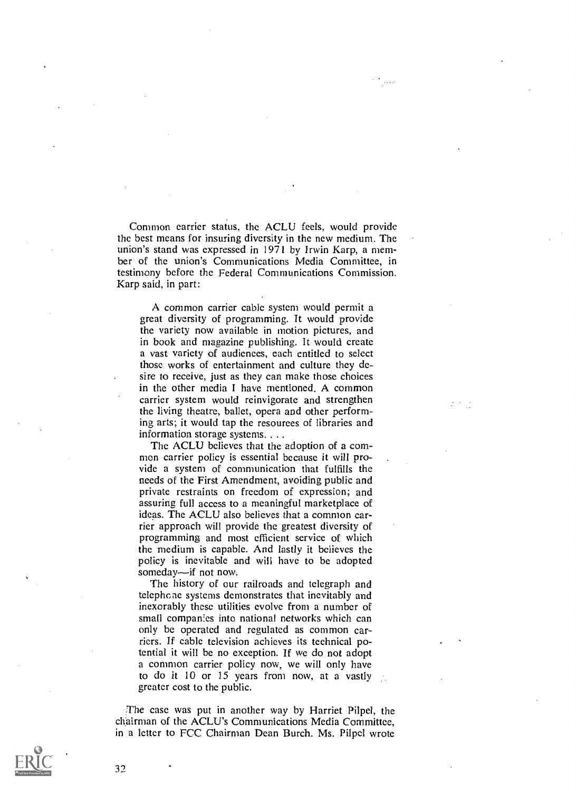Common carrier status, the ACLU feels, would provide the best means for insuring diversity in the new medium. The union's stand was expressed in 1971 by Irwin Karp, a member of the union's Communications Media Committee, in testimony before the Federal Communications Commission. Karp said, in part:

A common carrier cable system would permit a great diversity of programming. It would provide the variety now available in motion pictures, and in book and magazine publishing. It would create a vast variety of audiences, each entitled to select those works of entertainment and culture they desire to receive, just as they can make those choices in the other media I have mentioned. A common carrier system would reinvigorate and strengthen the living theatre, ballet, opera and other performing arts; it would tap the resources of libraries and information storage systems...

The ACLU believes that the adoption of a common carrier policy is essential because it will provide a system of communication that fulfills the needs of the First Amendment, avoiding public and private restraints on freedom of expression; and assuring full access to a meaningful marketplace of ideas. The ACLU also believes that a common carrier approach will provide the greatest diversity of programming and most efficient service of which the medium is capable. And lastly it believes the policy is inevitable and will have to be adopted someday—if not now.

The history of our railroads and telegraph and telephone systems demonstrates that inevitably and inexorably these utilities evolve from a number of small compan:es into national networks which can only be operated and regulated as common carriers. If cable television achieves its technical potential it will be no exception. If we do not adopt a common carrier policy now, we will only have to do it 10 or 15 years from now, at a vastly greater cost to the public.

The case was put in another way by Harriet Pilpel, the chairman of the ACLU's Communications Media Committee, in a letter to FCC Chairman Dean Burch. Ms. Pilpel wrote

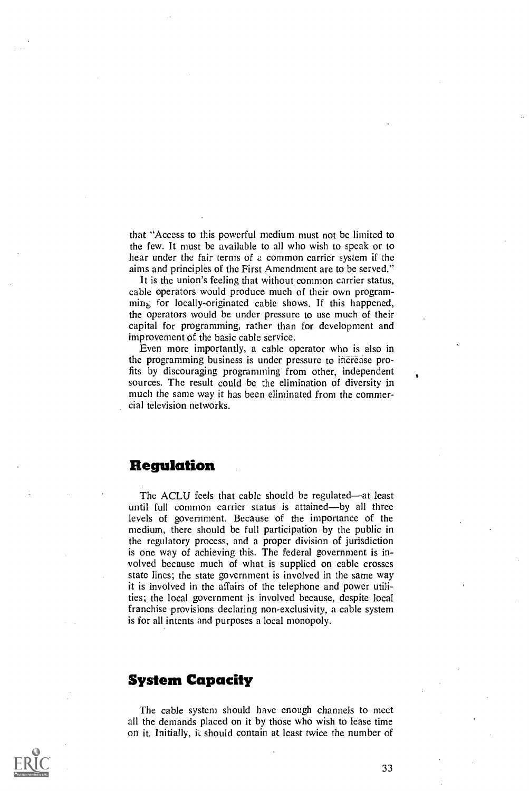that "Access to this powerful medium must not be limited to the few. It must be available to all who wish to speak or to hear under the fair terms of a common carrier system if the aims and principles of the First Amendment are to be served."

It is the union's feeling that without common carrier status, cable operators would produce much of their own program- $\min_{\xi}$  for locally-originated cable shows. If this happened, the operators would be under pressure to use much of their capital for programming, rather than for development and improvement of the basic cable service.

Even more importantly, a cable operator who is also in the programming business is under pressure to increase profits by discouraging programming from other, independent sources. The result could be the elimination of diversity in much the same way it has been eliminated from the commercial television networks.

#### Regulation

The ACLU feels that cable should be regulated—at least until full common carrier status is attained-by all three levels of government. Because of the importance of the medium, there should be full participation by the public in the regulatory process, and a proper division of jurisdiction is one way of achieving this. The federal government is involved because much of what is supplied on cable crosses state lines; the state government is involved in the same way it is involved in the affairs of the telephone and power utilities; the local government is involved because, despite local franchise provisions declaring non-exclusivity, a cable system is for all intents and purposes a local monopoly.

#### System Capacity

The cable system should have enough channels to meet all the demands placed on it by those who wish to lease time on it. Initially, it should contain at least twice the number of

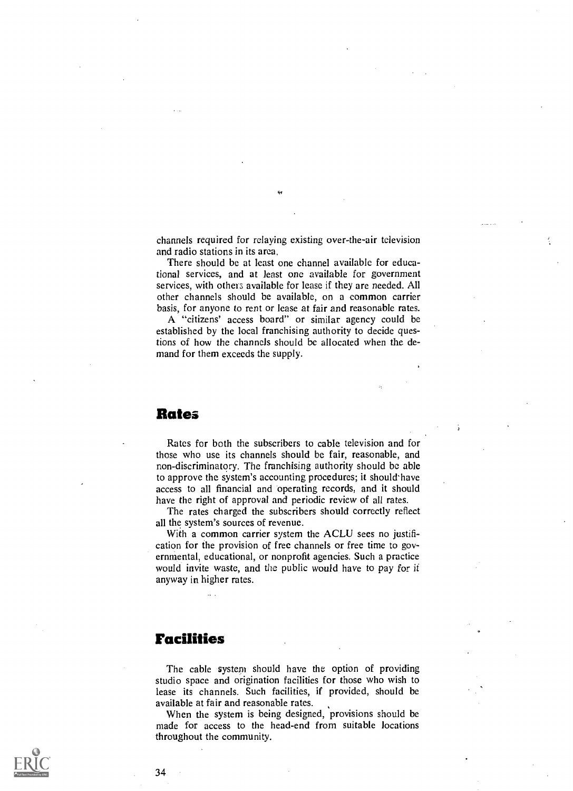channels required for relaying existing over-the-air television and radio stations in its area.

There should be at least one channel available for educational services, and at least one available for government services, with others available for lease if they are needed. All other channels should be available, on a common carrier basis, for anyone to rent or lease at fair and reasonable rates.

A "citizens' access board" or similar agency could be established by the local franchising authority to decide questions of how the channels should be allocated when the demand for them exceeds the supply.

#### Bates

Rates for both the subscribers to cable television and for those who use its channels should be fair, reasonable, and non-discriminatory. The franchising authority should be able to approve the system's accounting procedures; it should have access to all financial and 'operating records, and it should have the right of approval and periodic review of all rates.

The rates charged the subscribers should correctly reflect all the system's sources of revenue.

With a common carrier system the ACLU sees no justification for the provision of free channels or free time to governmental, educational, or nonprofit agencies. Such a practice would invite waste, and the public would have to pay for it anyway in higher rates.

## Facilities

The cable system should have the option of providing studio space and origination facilities for those who wish to lease its channels. Such facilities, if provided, should be available at fair and reasonable rates.

When the system is being designed, provisions should be made for access to the head-end from suitable locations throughout the community.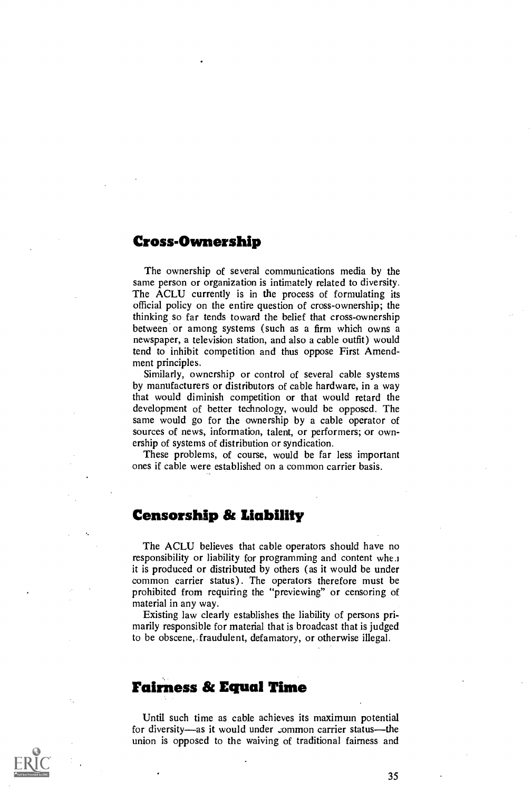#### Cross-Ownership

The ownership of several communications media by the same person or organization is intimately related to diversity. The ACLU currently is in the process of formulating its official policy on the entire question of cross-ownership; the thinking so far tends toward the belief that cross-ownership between or among systems (such as a firm which owns a newspaper, a television station, and also a cable outfit) would tend to inhibit competition and thus oppose First Amendment principles.

Similarly, ownership or control of several cable systems by manufacturers or distributors of cable hardware, in a way that would diminish competition or that would retard the development of better technology, would be opposed. The same would go for the ownership by a cable operator of sources of news, information, talent, or performers; or ownership of systems of distribution or syndication.

These problems, of course, would be far less important ones if cable were established on a common carrier basis.

#### Censorship & Liability

The ACLU believes that cable operators should have no responsibility or liability for programming and content whe.i it is produced or distributed by others (as it would be under common carrier status). The operators therefore must be prohibited from requiring the "previewing" or censoring of material in any way.

Existing law clearly establishes the liability of persons primarily responsible for material that is broadcast that is judged to be obscene,.fraudulent, defamatory, or otherwise illegal.

#### Fairness & Equal Time

Until such time as cable achieves its maximum potential for diversity—as it would under common carrier status—the union is opposed to the waiving of traditional fairness and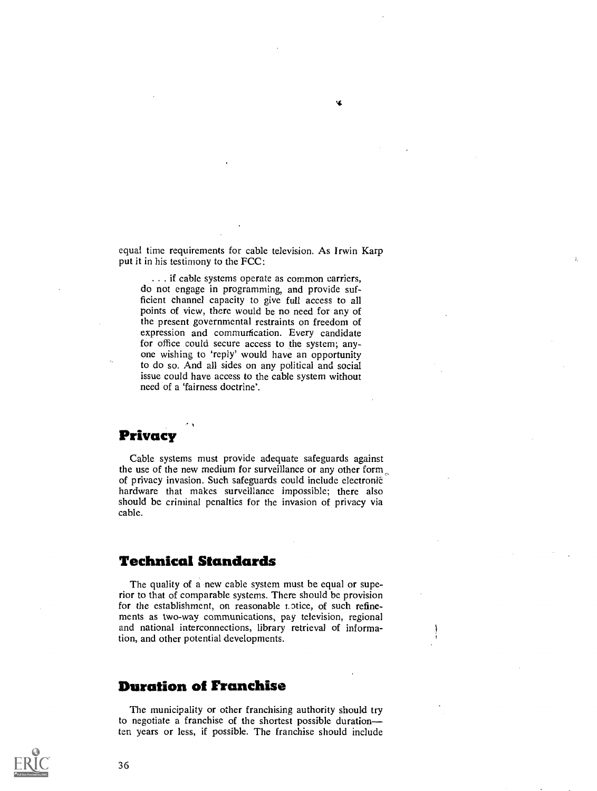equal time requirements for cable television. As Irwin Karp put it in his testimony to the FCC:

٧Ś

. . . if cable systems operate as common carriers, do not engage in programming, and provide sufficient channel capacity to give full access to all points of view, there would be no need for any of the present governmental restraints on freedom of expression and communication. Every candidate for office could secure access to the system; anyone wishing to 'reply' would have an opportunity to do so. And all sides on any political and social issue could have access to the cable system without need of a 'fairness doctrine'.

### Privacy

Cable systems must provide adequate safeguards against the use of the new medium for surveillance or any other form\_ of privacy invasion. Such safeguards could include electronic hardware that makes surveillance impossible; there also should be criminal penalties for the invasion of privacy via cable.

#### Technical Standards

The quality of a new cable system must be equal or superior to that of comparable systems. There should be provision for the establishment, on reasonable rotice, of such refinements as two-way communications, pay television, regional and national interconnections, library retrieval of information, and other potential developments.

#### Duration of Franchise

The municipality or other franchising authority should try to negotiate a franchise of the shortest possible duration ten years or less, if possible. The franchise should include

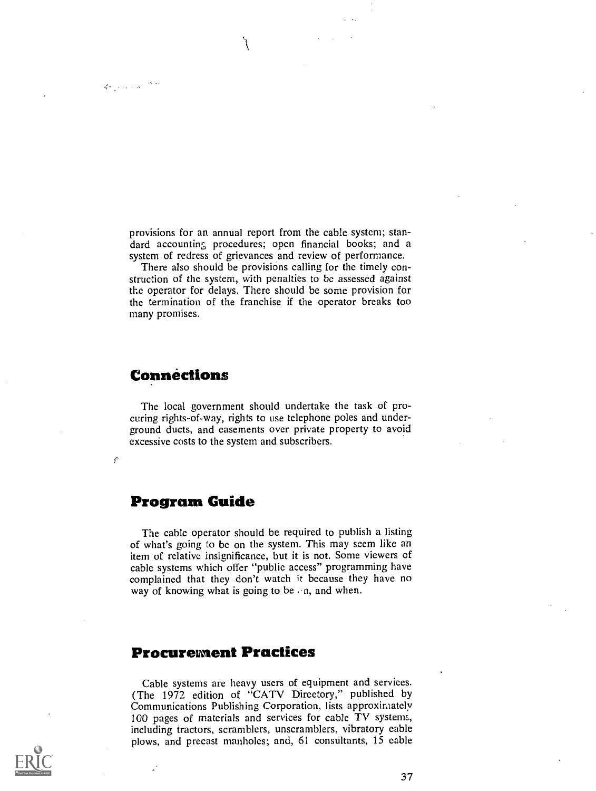$\label{eq:QCD} \hat{Q}(\sigma_{\rm{max}}) = \hat{q}_{\rm{max}} + \hat{q}_{\rm{max}} = \frac{m_{\rm{max}}}{\sigma_{\rm{max}}}$ 

provisions for an annual report from the cable system; standard accounting procedures; open financial books; and a system of redress of grievances and review of performance.

 $\int$ 

There also should be provisions calling for the timely construction of the system, with penalties to be assessed against the operator for delays. There should be some provision for the termination of the franchise if the operator breaks too many promises.

#### Connections

 $\mathcal{G}$ 

The local government should undertake the task of procuring rights-of-way, rights to use telephone poles and underground ducts, and easements over private property to avoid excessive costs to the system and subscribers.

#### Program Guide

The cable operator should be required to publish a listing of what's going to be on the system. This may seem like an item of relative insignificance, but it is not. Some viewers of cable systems which offer "public access" programming have complained that they don't watch it because they have no way of knowing what is going to be  $\alpha$ , and when.

#### Procurement Practices

Cable systems are heavy users of equipment and services. (The 1972 edition of "CATV Directory," published by Communications Publishing Corporation, lists approximately 100 pages of materials and services for cable TV systems, including tractors, scramblers, unscramblers, vibratory cable plows, and precast manholes; and, 61 consultants, 15 cable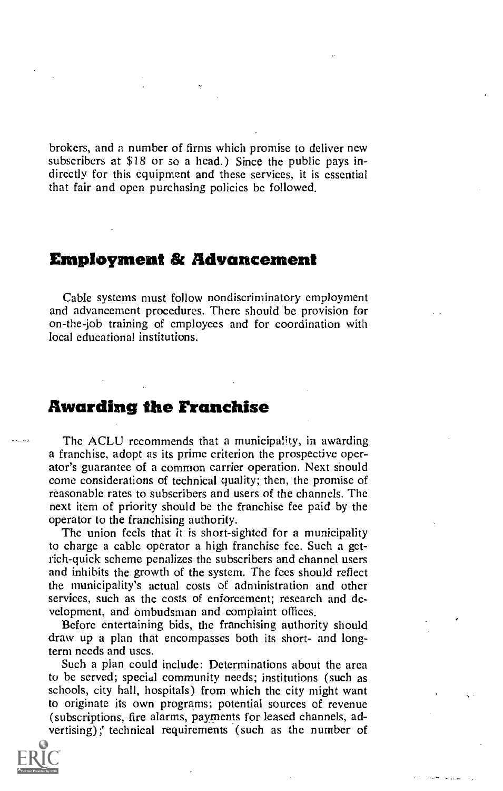brokers, and a number of firms which promise to deliver new subscribers at \$18 or so a head.) Since the public pays indirectly for this equipment and these services, it is essential that fair and open purchasing policies be followed.

#### **Employment & Advancement**

Cable systems must follow nondiscriminatory employment and advancement procedures. There should be provision for on-the-job training of employees and for coordination with local educational institutions.

#### Awarding the Franchise

The ACLU recommends that a municipality, in awarding a franchise, adopt as its prime criterion the prospective operator's guarantee of a common carrier operation. Next should come considerations of technical quality; then, the promise of reasonable rates to subscribers and users of the channels. The next item of priority should be the franchise fee paid by the operator to the franchising authority.

The union feels that it is short-sighted for a municipality to charge a cable operator a high franchise fee. Such a getrich-quick scheme penalizes the subscribers and channel users and inhibits the growth of the system. The fees should reflect the municipality's actual costs of administration and other services, such as the costs of enforcement; research and development, and ombudsman and complaint offices.

Before entertaining bids, the franchising authority should draw up a plan that encompasses both its short- and longterm needs and uses.

Such a plan could include: Determinations about the area to be served; special community needs; institutions (such as schools, city hall, hospitals) from which the city might want to originate its own programs; potential sources of revenue (subscriptions, fire alarms, payments for leased channels, advertising); technical requirements (such as the number of

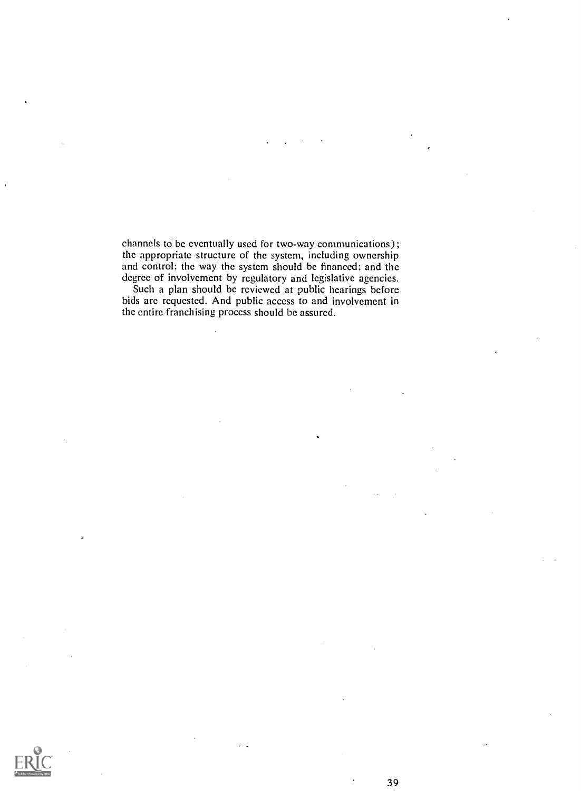channels to be eventually used for two-way communications); the appropriate structure of the system, including ownership and control; the way the system should be financed; and the degree of involvement by regulatory and legislative agencies.

Such a plan should be reviewed at public hearings before bids are requested. And public access to and involvement in the entire franchising process should be assured.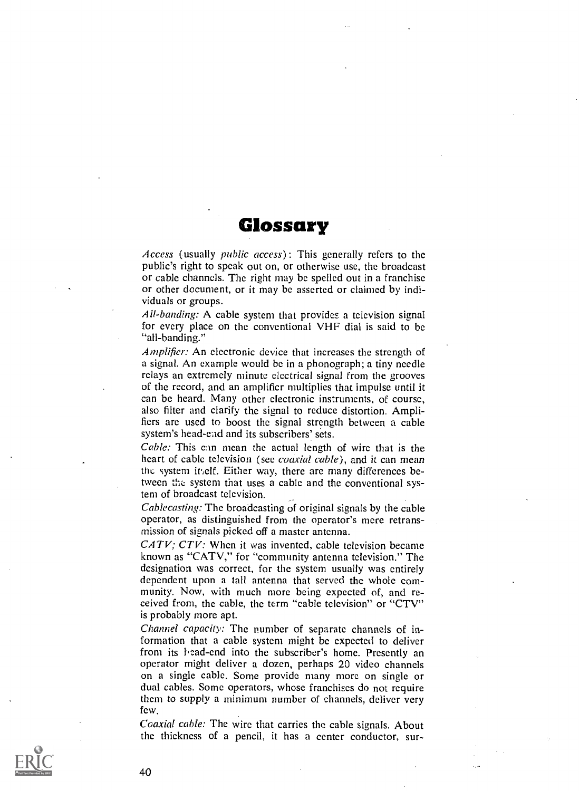# Glossary

Access (usually public access): This generally refers to the public's right to speak out on, or otherwise use, the broadcast or cable channels. The right may be spelled out in a franchise or other document, or it may be asserted or claimed by individuals or groups.

All-banding: A cable system that provides a television signal for every place on the conventional VHF dial is said to be "all-banding."

Amplifier: An electronic device that increases the strength of a signal. An example would be in a phonograph; a tiny needle relays an extremely minute electrical signal from the grooves of the record, and an amplifier multiplies that impulse until it can be heard. Many other electronic instruments, of course, also filter and clarify the signal to reduce distortion. Amplifiers are used to boost the signal strength between a cable system's head-end and its subscribers' sets.

Cable: This can mean the actual length of wire that is the heart of cable television (see *coaxial cable*), and it can mean the system itself. Either way, there are many differences between the system that uses a cable and the conventional system of broadcast television.

Cablecasting: The broadcasting of original signals by the cable operator, as distinguished from the operator's mere retransmission of signals picked off a master antenna.

 $CATV$ ;  $CTV$ : When it was invented, cable television became known as "CATV," for "community antenna television." The designation was correct, for the system usually was entirely dependent upon a tall antenna that served the whole community. Now, with much more being expected of, and received from, the cable, the term "cable television" or "CTV" is probably more apt.

Channel capacity: The number of separate channels of information that a cable system might be expected to deliver from its bead -end into the subscriber's home. Presently an operator might deliver a dozen, perhaps 20 video channels on a single cable. Some provide many more on single or dual cables. Some operators, whose franchises do not require them to supply a minimum number of channels, deliver very few.

Coaxial cable: The. wire that carries the cable signals. About the thickness of a pencil, it has a center conductor, sur-

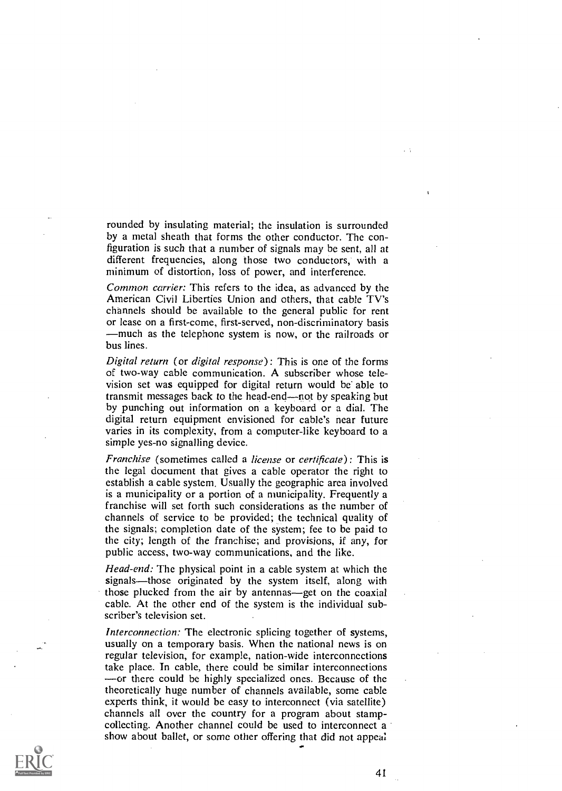rounded by insulating material; the insulation is surrounded by a metal sheath that forms the other conductor. The configuration is such that a number of signals may be sent, all at different frequencies, along those two conductors, with a minimum of distortion, loss of power, and interference.

Common carrier: This refers to the idea, as advanced by the American Civil Liberties Union and others, that cable TV's channels should be available to the general public for rent or lease on a first-come, first-served, non-discriminatory basis much as the telephone system is now, or the railroads or bus lines.

Digital return (or digital response): This is one of the forms of two-way cable communication. A subscriber whose television set was equipped for digital return would be able to transmit messages back to the head-end-not by speaking but by punching out information on a keyboard or a dial. The digital return equipment envisioned for cable's near future varies in its complexity, from a computer-like keyboard to a simple yes-no signalling device.

Franchise (sometimes called a license or certificate): This is the legal document that gives a cable operator the right to establish a cable system, Usually the geographic area involved is a municipality or a portion of a municipality. Frequently a franchise will set forth such considerations as the number of channels of service to be provided; the technical quality of the signals; completion date of the system; fee to be paid to the city; length of the franchise; and provisions, if any, for public access, two-way communications, and the like.

Head-end: The physical point in a cable system at which the signals—those originated by the system itself, along with those plucked from the air by antennas-get on the coaxial cable. At the other end of the system is the individual subscriber's television set.

Interconnection: The electronic splicing together of systems, usually on a temporary basis. When the national news is on regular television, for example, nation-wide interconnections take place. In cable, there could be similar interconnections or there could be highly specialized ones. Because of the theoretically huge number of channels available, some cable experts think, it would be easy to interconnect (via satellite) channels all over the country for a program about stampcollecting. Another channel could be used to interconnect a show about ballet, or some other offering that did not appeal

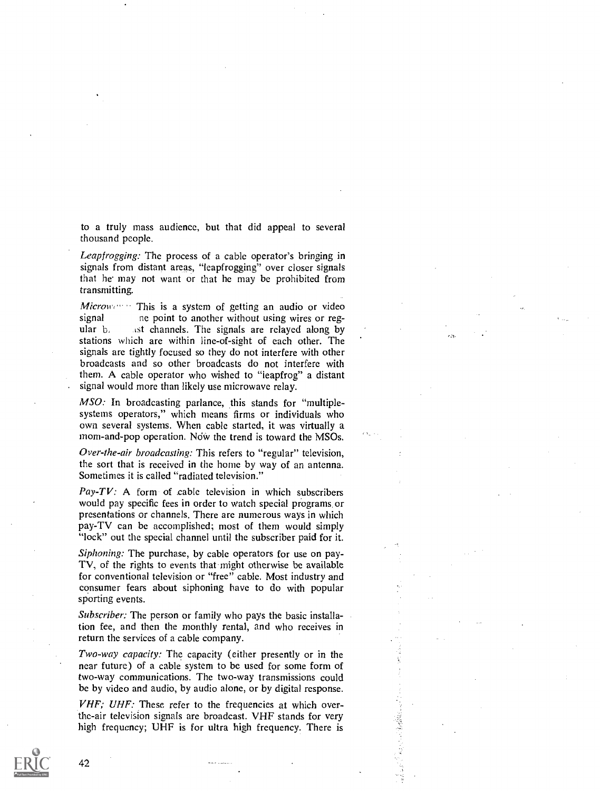to a truly mass audience, but that did appeal to several thousand people.

Leapfrogging: The process of a cable operator's bringing in signals from distant areas, "leapfrogging" over closer signals that he may not want or that he may be prohibited from transmitting.

 $Microwww.$  This is a system of getting an audio or video signal are point to another without using wires or regsignal a ne point to another without using wires or reg-<br>ular b. st channels. The signals are relayed along by ust channels. The signals are relayed along by stations which are within line-of-sight of each other. The signals are tightly focused so they do not interfere with other broadcasts and so other broadcasts do not interfere with them. A cable operator who wished to "leapfrog" a distant signal would more than likely use microwave relay.

MSO: In broadcasting parlance, this stands for "multiplesystems operators," which means firms or individuals who own several systems. When cable started, it was virtually a mom-and-pop operation. Now the trend is toward the MSOs.

Over-the-air broadcasting: This refers to "regular" television, the sort that is received in the home by way of an antenna. Sometimes it is called "radiated television."

 $Pay-TV:$  A form of cable television in which subscribers would pay specific fees in order to watch special programs or presentations or channels. There are numerous ways in which pay-TV can be accomplished; most of them would simply "lock" out the special channel until the subscriber paid for it.

Siphoning: The purchase, by cable operators for use on pay-TV, of the rights to events that might otherwise be available for conventional television or "free" cable. Most industry and consumer fears about siphoning have to do with popular sporting events.

Subscriber: The person or family who pays the basic installation fee, and then the monthly rental, and who receives in return the services of a cable company.

Two-way capacity: The capacity (either presently or in the near future) of a cable system to be used for some form of two-way communications. The two-way transmissions could be by video and audio, by audio alone, or by digital response.

 $VHF: UHF:$  These refer to the frequencies at which overthe-air television signals are broadcast. VHF stands for very high frequency; UHF is for ultra high frequency. There is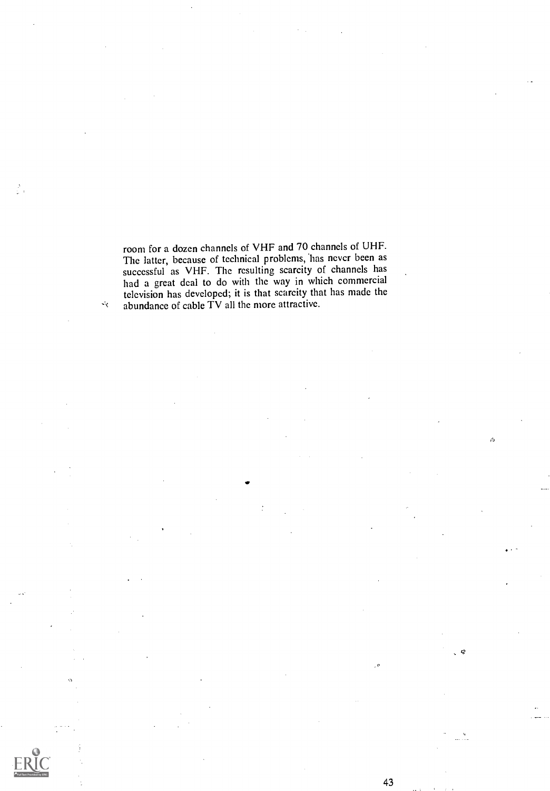room for a dozen channels of VHF and 70 channels of UHF. The latter, because of technical problems, has never been as successful as VHF. The resulting scarcity of channels has had a great deal to do with the way in which commercial television has developed; it is that scarcity that has made the abundance of cable TV all the more attractive.

Š.

 $\mathcal{A}$ 

Ŷ.

43

 $\bar{\mathcal{A}}$ 

ð

 $\sqrt{3}$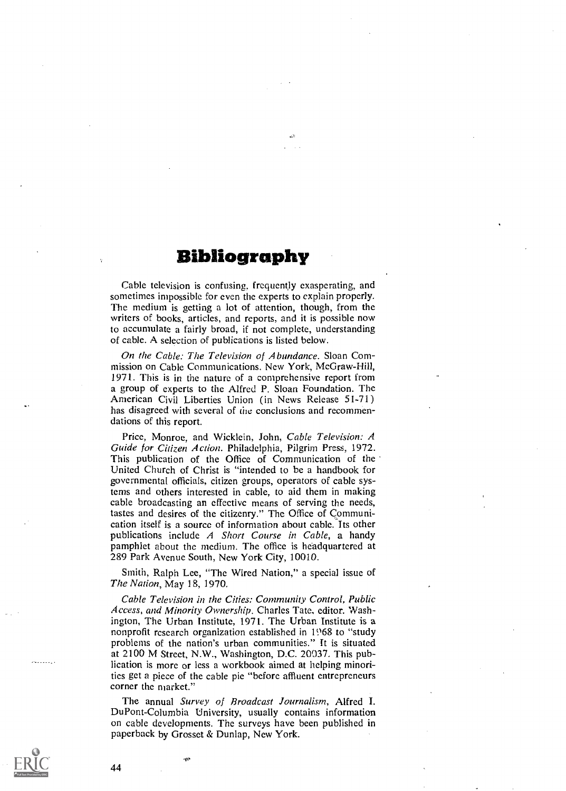# Bibliography

Cable television is confusing, frequently exasperating, and sometimes impossible for even the experts to explain properly. The medium is getting a lot of attention, though, from the writers of books, articles, and reports, and it is possible now to accumulate a fairly broad, if not complete, understanding of cable. A selection of publications is listed below.

On the Cable: The Television of Abundance. Sloan Commission on Cable Communications. New York, McGraw-Hill, 1971. This is in the nature of a comprehensive report from a group of experts to the Alfred P. Sloan Foundation. The American Civil Liberties Union (in News Release 51-71) has disagreed with several of the conclusions and recommendations of this report.

Price, Monroe, and Wicklein, John, Cable Television: A Guide for Citizen Action. Philadelphia, Pilgrim Press, 1972. This publication of the Office of Communication of the United Church of Christ is "intended to be a handbook for governmental officials, citizen groups, operators of cable systems and others interested in cable, to aid them in making cable broadcasting an effective means of serving the needs, tastes and desires of the citizenry." The Office of Communication itself is a source of information about cable. Its other publications include A Short Course in Cable, a handy pamphlet about the medium. The office is headquartered at 289 Park Avenue South, New York City, 10010.

Smith, Ralph Lee, "The Wired Nation," a special issue of The Nation, May 18, 1970.

Cable Television in the Cities: Community Control, Public Access, and Minority Ownership. Charles Tate, editor. Washington, The Urban Institute, 1971. The Urban Institute is a nonprofit research organization established in 1968 to "study problems of the nation's urban communities." It is situated at 2100 M Street, N.W., Washington, D.C. 20037. This publication is more or less a workbook aimed at helping minorities get a piece of the cable pie "before affluent entrepreneurs corner the market."

The annual Survey of Broadcast Journalism, Alfred I. DuPont-Columbia University, usually contains information on cable developments. The surveys have been published in paperback by Grosset & Dunlap, New York.



, ......

44

.<br>Se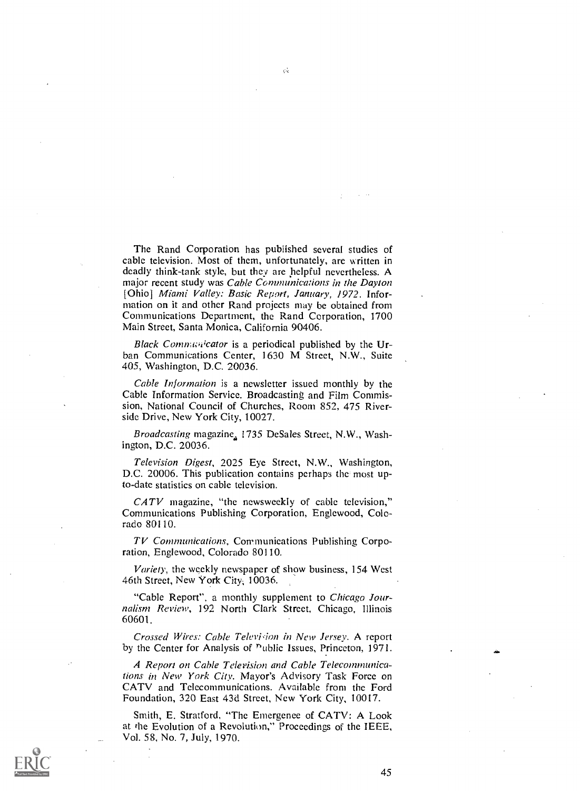The Rand Corporation has published several studies of cable television. Most of them, unfortunately, are written in deadly think-tank style, but they are helpful nevertheless. A major recent study was Cable Communications in the Dayton [Ohio] Miami Valley: Basic Report, January, 1972. Information on it and other Rand projects may be obtained from Communications Department, the Rand Corporation, 1700 Main Street, Santa Monica, California 90406.

 $\mathcal{O}_\mathbf{X}^*$ 

Black Communicator is a periodical published by the Urban Communications Center, 1630 M Street, N.W., Suite 405, Washington, D.C. 20036.

Cable Information is a newsletter issued monthly by the Cable Information Service. Broadcasting and Film Commission, National Council of Churches, Room 852, 475 Riverside Drive, New York City, 10027.

Broadcasting magazine, 1735 DeSales Street, N.W., Washington, D.C. 20036.

Television Digest, 2025 Eye Street, N.W., Washington, D.C. 20006. This publication contains perhaps the most upto-date statistics on cable television.

 $CATV$  magazine, "the newsweekly of cable television," Communications Publishing Corporation, Englewood, Colorado 80110.

TV Communications, Communications Publishing Corporation, Englewood, Colorado 80110.

Variety, the weekly newspaper of show business, 154 West 46th Street, New York City; 10036.

"Cable Report", a monthly supplement to Chicago Journalism Review, 192 North Clark Street, Chicago, Illinois 60601.

Crossed Wires: Cable Television in New Jersey. A report by the Center for Analysis of <sup>p</sup>ublic Issues, Princeton, 1971.

A Report on Cable Television and Cable Telecommunications in New York City. Mayor's Advisory Task Force on CATV and Telecommunications. Available from the Ford Foundation, 320 East 43d Street, New York City, 10017.

Smith, E. Stratford, "The Emergence of CATV: A Look at the Evolution of a Revolution," Proceedings of the IEEE, Vol. 58, No. 7, July, 1970.